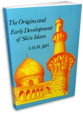

S.H.M. Jafri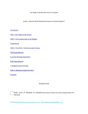The Origin of Shi'tte Islam and It's Principles

Author : Allamah Sheikh Muhammad Hussein Al Kashifu'Lghita'a'

#### **Introduction**

PART I : The Origins of the Shi'ahs

PART 2 :The Fundamentals of the Religion

Prophethood

PART 3 :The Shi'ah ‐ The Divine Code of Living

Fiqh (Jurisprudence)

8. (a) The Marriage Agreement

8 (b) Talaq (Divorce)

2. Slaughtering and Hunting

PART 4 :Allegations Against the Shi'a

**Endnotes** 

#### INTRODUCTION



BISM ‐ ILLAH ‐ IR ‐ RAHMAN ‐ IR ‐ RAHEEM (In the name of God, the most Compassionate, the Merciful)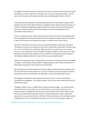AL‐ HAMDU L'ILLAH (All praise be to God) Call unto the way of your Lord with wisdom and good exhortation, and reason with them in the best way. Lo! your Lord best knows those . who go astray from His path, and He knows best those who are rightly guided. (Qur'an, 16:125)

It was about two years ago that I received a long letter from an Iraqi student in Egypt. Briefly speaking, the writer of the letter had had an exchange of views with some eminent scholars of al‐Azhar. Perhaps they talked about Najaf al‐Ashraf, the scholars of that seat of learning and their ways of studies and also about those devoted to the spiritual atmosphere at the mausoleum of Hazrat Ali (a.s.).

There is no doubt, of course, that the educated class of Cairo are all praise for the great seat of learning at Najaf and are also well impressed with the intellectual advancement of its scholars. In spite of all this they do not refrain from saying: "Oh! What a pity! They are Shi'as."

The writer of the letter says that he was very astonished and often used to plead with them, "Gentlemen! The Shi'as are a Muslim sect and a part of the Muslim community." But their reply was, "No, Sir! The Shi'as are not Muslims. What has Shi'ism to do with Islam? It is wrong to count it as a sect among the sects and a religion among the religions of the world; it was a plan devised by the Iranians and a political stunt to overthrow the Umayyad rule and bring about the 'Abbasid Caliphate. What has it to do with the ways prescribed by God?"

After this, this young man writes. "Respected Sir, at present I am young and have no knowledge of religions. I know neither the philosophy of religious growth, nor do I know the history of its flourishing. Consequently I have entertained some doubts."

After writing these words this student of the great college at Cairo desired that I should unveil the truth and rid him of that mental worry. In this connection he also wrote that if his request proved futile and he was misled from the right path, I would stand responsible for that.

Accordingly I considered the reply necessary and wrote to him in a letter answering him according to his intelligence. I must admit, however, that my own worries were more than the doubts of this youth.

I thought to myself: how is it credible that a cultured country like Egypt ‐ the cradle of Islamic learning, the centre of the Arabs, nay, of all the Muslims in such a state of ignorance and hostility among its intelligentsia! It was by chance that a book entitled "Farjru 'l-Islam" by the famous writer Ahmad Amin reached my hands. I started wading it but. when I reached the place where he wrote about the Shi'as, I felt that the learned author was not writing a book but building castles in the air. During the present age, even if a man from the distant regions of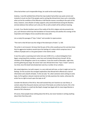China had written such irresponsible things, he could not be easily forgiven.

Anyhow, I now felt satisfied that all that the Iraqi student had written was quite correct and instantly it struck me that if the people used to writing like Ahmad Amin have such a mentality, what can be the condition of the illiterate or half-literate masses; according to the spirit of the times, however, every Muslim of today supports unity and brotherhood among the Muslims and also believes that without such unity our life as well as death will be without meaning.

In truth, if our Muslim brothers were of the reality of the Shi'a religion and also proved to be just, such literature which lays the foundation of mutual enmity and satisfies the cravings of the Imperialist and irreligious forces would be done away with.

Let us study this passage of "Fajru 'l-Islam" and consider its repercussions:

"The truth is that Shi'aism was the refuge of the destroyers of Islam." p. 330.

The writer is not innocent. He knew that the pen of the critics would pursue him and also knew that his aggressive tendency would injure the feelings of a nation which comprises tens of millions of people and is a very great power in the Islamic world.

It was thus quite a surprising event when last year (1349 A.H.), a cultural delegation from Egypt, comprising thirty members, came here and included Ahmad Amin himself. All the members of the delegation came to my residence. It was the month of Ramadan, night time, and the gathering was large. No sooner had I seen Ahmad Amin than "Fajru 'l‐Islam" came to my mind, since this book had already been seen by a number of our scholars.

We raised objections, but with respect, in a very mild and soft tone, so that it might not hurt his feelings. On this occasion the strongest explanation that Ahmad Amin offered was a lack of information and a dearth of books. To this we said, "Sir, when someone starts writing on some topic, he first gathers relevant material and then he fully examines the matter, otherwise the writer has no right to touch upon the topic at all."

Consider the libraries of the Shi'as. Row well stocked they are! Examine our own library. It contains about five thousand volumes and most of the books are written by Sunnis: this is the collection of books in a small city like Najaf; strange how Egypt with its many large libraries is devoid of Shi'a literature!

Of course, these people know nothing about the Shi'as, but never hesitate in writing anything about them that they wish.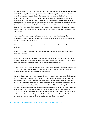It is even stranger that the fellow Sunni brothers of Iraq living in our neighborhood are unaware of the Shi'as! Only a few months ago a promising Shi'a boy of Baghdad wrote in a letter that recently he happened to go to Dalyam (just adjacent to the Baghdad district). Most of the people there are Sunnis. The correspondent became intimate with them and attended their assemblies. Since the people of Dalyam were unusually impressed by the excellent behaviour and high morals of the stranger, they warmly welcomed him. But when they came to know that the person in whom they were taking so much interest was a Shi'a, their wonder had no bounds. "We were under the impression that the people of this sect were deprived of even the smallest light of civilisation and culture - quite wild, totally savage!" Such were their whims and speculations.

At the end of the letter this young boy appealed to my conscience that, through the endeavours of my pen, I should remove the misunderstanding in the minds of such people and introduce a true picture of Shi'aism.

After some time the same youth went to Syria to spend the summer there. From there he went to Egypt.

From Cairo he wrote another letter, telling me that the condition of Egypt was not different from that of Dalyam.

He wrote: "Here also the same views about the Shi'as are common. So, it is requested that you may perform your duty of informing them of the truth. Believe me, the views that the common people of Islam have formed about the Shi'as are intolerably obnoxious."

And this is not all. The false imputations, which are being continuously published in the journals of Egypt, Syria, etc. are no less grievous; those under attack are as innocent as Joseph, but unfortunately ignorance and fanaticism have no remedy.

However, silence in the face of transgression is synonymous with the acceptance of injustice, so I had an obligation to speak out. But it should be made clear that I do not wish to reply to the slanderers of the Shi'as but rather to remove that veil of ignorance from the eyes of the rest of the Muslims so that the truth may be clearly visible to them; moreover it may serve as the last word to the elements hostile to Shi'as and as a true picture of Shi'aism. We hope it may also remove the mutual discord among the Muslims, so that writers like Ahmad Amin may never get another opportunity to indulge in destructive activities. The author of "Fajru 'l-Islam" writes "The truth is that Shi'ism was the refuge of those who wished to destroy Islam through enmity and baseless talk, and it was the place of shelter for those who wanted to introduce their ancestral teachings of Israelite, Christian and Zoroastrian religions into Islam".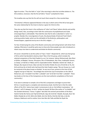Again he writes: "Thus the faith in "raj'at" (the returning) is what the Isra'elites believe in. The Shi'as believe, moreover, that the fire (of hell) is "haram" (unlawful) for them.

The Israelites also say that the fire will not touch them except for a few counted days.

"Christianity's influence appeared likewise in the way in which some of the Shi'as have given the same relationship for the Imam to God as is given for Christ to Him.

They also say that the Imam is the confluence of 'Lahut' and 'Nasut' (where divinity and earthly beings meet). Also, according to their faith the continuance of prophethood and risalat (messengership) is unbreakable. They hold the view that he who is absorbed in 'Lahut' is a prophet. Besides this, transmigration of souls, the physical body of God and 'hulul' (God's entering another body), which are the old beliefs of the Brahmins, philosophers and fireworshippers, appeared one by one in the Shi'a religion . . . ."

For fear of destroying the unity of the Muslim community and inciting hatred I will refrain from replying. Otherwise it would be quite easy to show who those people were who introduced un‐ Islamic ways into Islam to undermind and divide the Muslim community'.

Of course I should like to ask the author of 'Fajru 'l Islam": Respected Sir, which was that group of Shi'as which had decided to destroy Islam? Was it the first group, which includes the selected companions of the Holy Prophet (s.a.w.), for instance. Salman Muhammadi, Abu Dharr al‐Ghifari, al‐Miqdad, 'Ammar, Khuzayma, Dhu sh Shahadatain, Abu Tihan, Hudhayfah Yamani, az-Zubayr, al-Fadl ibn al-'Abbas and his respectable brother 'Abdullah, Hashim ibn 'Utbah, al-Marqal, Abu Ayyub al‐Ansari, Aban and also his brother Khalid, the sons of Sa'id ibn al‐'As, Ibn Ka'b and Anas ibn al‐Harith who had heard the Holy Prophet saying: "My son Husayn (a.s.) will be martyred at the place known as Karbala'. So any one of you, present at the time of that tragedy must go to help him." Accordingly Anas drank the cup of martyrdom on the 10th of Muharram, (see "al‐Isabah fi ma'rifati' s‐sahabah" and "al‐Isti'ab fi ma'rifati' s‐sahabah". These two books on the lives of the Companions are the most authentic compilations of the Sunni community.)

If we were to attempt to compile a list of the Shi'a companions and begin to prove their Shi'ism, it would require a complete and volumionous book. And the fact is that the noble efforts of the Shi'a 'ulema have made it unnecessary to do so: the brilliant masterpiece, "ad‐ Darajat 'r rafi'h fi tabaqatu 'sh‐Shi'a" written by Sayyid 'Ali Khan (the author of "as‐Salafah" and the standard dictionary "Tarazu 'l‐Lughan" describes the eminent personalities of the Banu Hashim family like Hamza and 'Aqil Sa'id Khudri, Qays ibn Sa'id ibn 'Ubadah, Burayda, Bura' ibn Malik, Khabab ibn al‐Irth, Refa'a ibn Malik, Amir ibn Wa'ila, Hind ibn Abi Hala, Ju'da ibn Hubayra, Makhzumi and his mother Umm Hani Bint Abi Talib and Bilal ibn Riyah the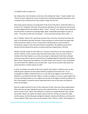mu'adhdhin (caller to prayer) etc.

But I believe that, from the books on the lives of the Sahaba like "Isaba", "Asadu 'l‐ghaba" and "Isti'ab" we have collected the names of about three hundred distinguished companions and it is possible some scholarly person may compile a longer list than this.

Were these persons desirous of ruining Islam? If the Imam of the Shi'as, 'Ali ibn Abi Talib (a.s.), of whom the "Thaqalayn" (the book of God and the Ahle Bayt) are the witnesses, had not used his sharp-edged sword in the battles of "Badr" "Uhud", "Hunayn" and " Ahzab" Islam would not have flourished or attained an imposing height. Abdu 'l-Hamid Mu'tazali begins his poem of praise : "Ila innama al-Islam law la hisamahu..." (if his sword had not been there, Islam ...)

Yes, if "Zulfiqar" (Hazrat 'Ali's sword) had not been there, if the lion of God had not taken the lead, as he did before and after the hijrat, if there had been no sincere help from Hadrat Abu Talib the illustrious father of 'Ali (a.s.) and if Hazrat 'Ali Murtada (a.s.) had not offered extraordinary support in the holy lands of Mecca and Medina, the rebellious group of the Quraysh and the blood‐thirsty wolves of Arabia would have nipped Islam in the bud.

Muslims pay little respect for Abu Talib's (a.s.) services in that they do not seem prepared to call him a Muslim. On the contrary when they talk of Abu Sufyan, the root cause of all the troubles of the Holy Prophet (s.a.w.) they are prompt in endowing him with Islam, although everyone knows that he had very reluctantly and unwillingly aligned himself with the Muslims. When Hazrat 'Uthman got the Caliphate, it was Abu Sufyan, who cried out, "Sons of Umayyah! Just catch hold of the caliphate as you would a ball. I swear by him by whom Abu Sufyan can swear that there is neither heaven nor hell!"

In short, according to he verdict of the Sunni majority, Abu Sufyan is a Muslim and as to Abu Talib the great supporter of Islam (whose beliefs are apparent from these lines: "In my knowledge the religion of Muhammad (s.a.w.) is the best of all religions in the world") he is labelled as a non-Muslim! Was Abu Talib (a.s.) either so helpless or of such a weak intellect that he knew that Muhammad's (s.a.w.) religion was the best of all religions and did not follow it for fear of the people? It should be clearly understood that he was at the center of all Mecca's forces and strengths.

Now let us again examine the story of the subversion of Islam. Now were these people (about whom we have just been talking) the persons who subverted Islam, or it was the later group, which is known as the "tabi'in" (the followers), in which are included Ahnaf ibn Qays, Suwayd ibn Ghuflah, Atiyah, Ufi, Hakam ibn Atibah, salim ibn Abi Ju'd, 'Ali Abi Ju'd, Hasan ibn Salah, Sa'id ibn Jubayr, Sa'id ibn Musayab, Asbagh ibn Nabatah, Sulayman ibn Mohran, and Yahya ibn Ya'mar 'Adwani'? After them come the personalities of the "tab'inu 't‐tabi'in" (the followers of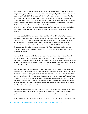the followers) who laid the foundation of Islamic teachings such as Abu 'l‐Aswad Du'ali, the originator of syntax, Khalil ibn Ahmad, the founder of lexicography and the science of rhyme in poetry, Abu Muslim Ma'adh ibn Muslim Al‐Hira', the founder of grammar, whose Shi'ism has been admitted even by Siyuti (Al‐Muzhir, volume II) and as‐Sakit Ya'qub ibn Is'haq, the master of Arabic literature. Also, in the group of commentators is the distinguished name of 'Abdullah ibne 'Abbas, who tops the list and whose Shi'ism is beyond doubt. Next come the names of Jabir ibn 'Abdullah al‐Ansari, Abi' ibn Ka'b, Sa'id ibn Musayyab and Muhammad ibn 'Umar Waqidi, who was the first to collect and arrange the Qur'anic sciences. (Ibn Nadim and others have acknowledged that they were Shi'as. "ar-Raghib" is the name of the commentary of Waqidi).

Among those who laid the foundations of the teaching of "Hadith" is Abu Rafi', who was the freed salve of the Holy Prophet (s.a.w.) and the author of the book, "al‐Ahkam wa 's‐sunan wa 'l‐qadaya". He had a special relationship with Amir al‐mu'minin (a.s.); during the caliphate of the Holy Imam (a.s.) he was in charge of the Treasury at Kufa, his sons also were both remarkable personalities. 'Ali ibn Rafi' was the secretary of Amir al‐Mu'minin (a..s.) He was the first person after his father who began writing on "fiqh" (jurisprudence) and his brother, 'Abdullah ibn Rafi' took the lead in the writing of history and the recording of events in the Muslim community.

Abu Hashim ibn Muhammad ibn Hanafiya was the first to write about the nature of Islamic beliefs. Many fine books on this topic have been written by him. We may examine also the works of 'Isa ibn Rawzah who lived up to the time of Abu Ja'far (Imam Baqir). It should be noted that the above persons lived before Wasil ibn 'Ata and Abu Hanifah, and that Siyuti's opinion is correct that the latter were the earliest writers on the philosophy of Islamic beliefs.

Next we may reflect upon two eminent Shi'as, Qays an‐Nasir and Muhammad ibn 'Ali Ahwal, (known as Mu'min at‐Taq"), Hisham ibn al‐Hakam and an‐Nawbakht. The latter was an exalted family who continued serving the cause of Islam for more than a hundred years. Among their works, "Faslu 'l‐yaqut", is of extraordinary importance. Also among the pupils of Hisham Ahwal, and an‐Nasir, the names of Abu Ja'far Sakak Baghdadi, Abu Malik Zuhak Khazrami, Hisham ibn Salim and Yunus ibn Ya'qub deserve special mention. These were the persons who undertook masterly debates with sages of other religions and provided irreputable arguments on topics like the unity of God and the Imamate.

If all their scholastic subjects of discussion, particularly the debates of Hisham ibn Hakam, were collected together, it would make an excellent book. Similarly, if we included all the Shi'a philosophers and scholars, a great number of voluminous compilations will be required.

I request therefore that the author of "fajru 'l-Islam" tell me whether these men wanted to ruin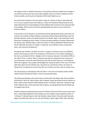the religion of God, or whether they were so conscientious that they worked day and night to record historical facts and events and collect together reports of matters relating to the life, miracles, battles, and the purity of character of the Holy Prophet (s.a.w.)

One of the finest scholars in this connection is Aban ibn 'Uthman al‐Ahmar Tabi'i (died 140 A.H.). He was a pupil of Imam Ja'far Sadiq (a.s.). After him Hisham ibn Muhammad, ibn sa'ib Kalbi, Muhammad ibn Is'haq Matalabi and Abu Makhnaf Azdi continued in this particular field of knowledge. All the writers of the later age depended upon them as source material in historical matters.

If we examine a list of historians, we will find that all the distinguished writers were Shi'as; for instance, the compiler of Kitab al‐Mahasin, Ahmad ibn Muhammad ibn Khalid Barqi, Nasr ibn Muzahim Manqari, Ibrahim ibn Muhammad ibn Sa'd Thaqafi, 'Abdu 'l‐'Aziz Juludi Basri Imami, Ahmad ibn Ya'qub(whose book Tarikhu 'l‐Ya'qubi has been published in Europe), Muhammad ibn Zakariya, Abu 'Abdillah Hakim, al‐Ma'sudi, author of "Muruj adhdhahab" Muhammad ibn 'Ali ibn Taba'taba' the author of "Adabu 's‐sultaniyah" and hundreds of other scholars like them, who cannot be included here.

Among the men of letters, the Shi'as are also in a majority. The literary men are of different groups. The first group is that of the companions. All the famous men of letters belonging to this class are attached to Shi'ism. Nabigha Ju'di, for instance, took part in the battle of Siffin on the side of 'Ali (a.s.) and the "Rajaz" (rousing verses) that he composed for the occasion are very well known; 'Urwah ibn Zayd al‐Khayl was also with the Holy Imam (a.s.) in the battle of Siffin (see al‐Aghani). some people acknowledge that Lubayd ibn Rabi'ah 'Amiri was of the Shi'a faith; Abu Tufayl 'Amir ibn Wa'ilah, Abu 'l‐Aswad Du'uli, and Ka'b ibn Zuhayr, the author of "Banat Sa'id" are likewise but a few of the Shia' men of letters we have room to mention here.

The second group is contemporary with the Tabi'in. In this class al‐Farazdaq, Kumayt, Kathir, Sayyid Humayri and Qays ibn Dharih . have a very prominent place.

The third group belongs to the second century of the hijrah: Abu Nawas, Abu Tamam, Bahtari, Da'bil Khuza'i, Dik al‐Jin, 'Abd as‐Salam, Abu sh‐Shaysh, Husayn ibn Duhak ibn Rumi, Mansur an‐ Namri, Ashja' asalmi, Muhammad ibn Wahib and Sari' al‐Ghawani. Morevoer, during the reign of the 'Abbasid rulers all the prominent literary figures, excluding Marwan ibn Abi Hafsah and his progeny were Shi'as:

Similarly among the celebrated poets and men of letters of the fourth hijra century were many Shi'as : Mutanabbi Maghrib ibn Hani Andalusi, ibn at‐Ta'awidhi, Husayn Hajjaj (the author of "al‐Majnun"), Mahyar Daylami, Abu Fads Hamdani, (about whom it has been said that poetry began and ended with him); we may cite also Kashajum, Nashi' saghir, Nashi' Kabir, Abu Bakr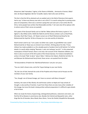Khwarizmi, Badi' Hamadani, Tughrai, Ja'far Shams al‐Khilafah, , Ammarah al‐Yamani, Wida'i Zahi, ibn Basam Baghdadi, Sibt ibn Ta'awidhi, Salami, Nami who were all Shi'as.

The fact is that the Shi'as attained such an exalted rank in the field of literature that experts had to say: 'Is there any literary man who is not a Shi'a?' It is worth noting that in praising some piece of composition, there was a common saying that such and such a man writes like the Shi'as. Some people have written that Mutanabbi and Abu 'l‐'ula' were also Shi'as (please refer to where some of their verses are quoted).

Shi'a poets of the Quraysh family such as Fadl ibn 'Abbas (whose life history is given in "al‐ Aghani"), Abu Dihbai Jamhi, Wahib ibn Rabi'ah and the literary scholars such as Sharif Radi, Murtada, Sharif Abu'l Hasan , Ali 'Alawin Jumani son of Sharif Muhammad ibnja'far ibn Muhammad ibn Zayd ibn 'Ali ibn al‐Husayn (a.s.) are also worthy of attention.

Sharif Jumani used to say "I am a poet; my father was a poet; my grandfather was a poet". Muhammad ibn al‐'Alawi was an eminent man of letters. Writing about him Abu 'l‐Faraj Isfahani has made available to us the valuable pearls of wisdom that he left behind. For further details it is worth while studying "Nasmatu 's‐sahr min tashayyu' wa shi'r". In this esteemed masterpiece of Sharif Yamani, there is not only a fair account of the 'Alawimen ofletters, but there is also an account of the Shi'a poets of the Amawi dynasty. For instance Zamakhshari writes in his book "Rabi 'al‐abrar" about 'Abdu 'r‐Rahman ibn Hakam, Khalid ibn Sa'id ibn 'As and Marwan ibn Muhammad Saruji Amwi; these verses ‐are quoted from the latter:

"Oh descendents of Hashim ibn 'Abd Munaf!wherever I amy be I am yours.

"You are ,God's chosen ones, and Ja'far Tayyar belongs to your own family.

"Ali, the Lion of God, Hamzah the uncle of the Prophet and al‐Hasan and al‐Husayn are the members of your own family.

"Yes, though I am of Amawi lineage, yet I have no concern with Banu Umayyah."

Similarly, the name of Abu Warda, the well‐known author on Najdi and 'Iraqi schools of thought, is also worthy of mention. A part from these there are also many other notables of this lineage, but since this book is being written without preparation it is difficult to give details of all of them.

When we study the history of great kings, distinguished politicians, statesmen and viziers, we find the Shi'as likewise in prominence also. Besides the Fatimid and Bawayhid rulers, other kings like the Al Hamdan, Banu Mazid, Banu Wasis, 'Imran ibn Shahid, Muqallid ibn Musayyab,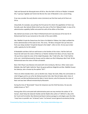'Aqili and Qarwash ibn Musayyab were all Shi'as. Also the faith in Shi'ism of Wajihu' d‐dawlah Dhu 'l‐qarnayn Taghlabi and Tamim ibn Mu'izin the ruler of Marakish is not a secret thing.

If we now consider the early Muslim viziers (ministers) we find that nearly all of them are Shi'as.

Ishaq Katib, for example, was perhaps the first person for whom the appellation of Vizier was formally used. Abu Salmah Khilal al‐Kufi was the vizier of the first 'Abbasid Caliph. In view of his administrative capability Saffah entrusted him with all the affairs of the State.

Abu Salmah was known as the 'Wazir Al Muhammad and it was because of his love for Al Muhammad that he was martyred on the order of the same Saffah.

Abu 'Abdillah Ya'qub ibn Dawud was the Vizier of al‐Mahdi al‐'Abbasi; the Caliph confided the entire administration of the state to him. This verse, "Oh Banu Umayyah! Get up! And arise from your deep slumber! Ya'qub ibn Dawud is the Caliph", refers to him. He too was to later suffer captivity for his Shi'a belief.

Al Nawbakht and Banu Sahl are well known as the families of the viziers. Fadl ibn Sahl and Hasan ibn Sahl were the viziers of Ma'mun ar-Rashid. Similarly from Banu al-Furat, Hasan ibn 'Ali was thrice made the vizier of the Caliph Muqtadar. Abu 'l‐Fadl Ja'far, Abu 'l‐Fath Fadl ibn Ja'far and , Amid Muhammad ibn Husayn and his eldest son Dhu'l‐kifayatayn Abu'l‐Fath 'Ali ibn Muhammad were the viziers of Rukn ad‐dawlah.

Banu Tahir Khyza'i was likewise entrusted with minis tership by. Ma'mun. Other viziers were Mahlabi, Abu Dalf 'Ajalli, Sahib ibn 'Ibad, the great politician Maghribi and Abu 'Abdillah Husayn ibn Zakariya, who is known by the epithet "Shi'i".

There are others besides them, such as Ibrahim Suli, Talaya' ibn Zarik, Afdal, the commander‐in‐ chief of Egypt and his son Ja'far ibn Muhammad ibn Fatit, Abu'l Mu'ali Habat-ullah, Vizier of Mustazhir and Mu'yad Muhammad ibn Abd al ‐Karim Qummi, who first became the vizier of Nasir and was later offered ministership by Mustazhir.

During the time of "Baramakah" Hasan ibn Sulayman was the Chief Secretary. He was also widely known as "Shi'i".

Among other Shi'as entrusted with administrative posts we may mention the author of "al‐ Awraq", (Suli) Yahya ibn Salamah Hasfaki and ibn Nadim (the author of "alFihrist"), Abu Ja'far ibn Yusuf and his brother Abu Muhammad Qasim (whose panegyrics and elegies upon the Ahlu 'l‐bayt have no parallel: see "al‐Awraq") were "mu'tamad 'umumi (general secretaries) during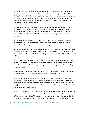the time of Ma'mun, and even for a considerable time after the latter's death. Similarly the names of Ibrahim Uysuf and his son, the master of the Arabic language and author of "al‐ Mu'jam", Abu 'Abdillah Muhammad ibn 'Imran Marzbani, are also worth remembering, Sam'ani has made mention of their Shi'ism. Viewed in the same perspective there are hundreds of persons whose administrative abilities, political sagacity and national services would need volumes and volumes to be recorded.

My late father had tried to collect the life histories of different groups of Shi'as. He classified thirty groups into alphabetical order in ten volumes, under the titles "'Ulama (scholars), philosophers, kings, viziers, astronomers and physicians, etc." The name of this collection is "al-Husun al‐Mani'ah fi Tabaqat ash‐Shi'a". This voluminous book despite its nature is not complete.

At this stage we would also like to ask the author of "Fajru 'l-Islam" whether, in his opinion, these persons who had established the teachings of Islam and provided the basis for true knowledge and learning, wanted to ruin our sacred religion.

And again the question arises whether he and his teacher Dr. Taha Husayn are true supporters of the Islamic religion. If that is the case, we can bid farewell to Islam, or rather we may quote the words of a poet, if one calls Hatim Ta'i a stingy person "it is better to die than to live oneself with such a narrow outlook on life."

In fact it was not my aim to write at such length but the pen moved on regardless. We hope that the present‐day or future writers might learn something from it and they may at least be careful in the manner of their writing and may express their thoughts only after researching into their subject.

Islam's greatest sage Hadrat 'Ali ibn Abi Talib (a.s.) says: "A wise man's tongue is subordinate to his heart, and the heart of an ignorant person is obedient to his tongue."

Ahmad Amin's opinion that "the belief in Raj'ah" (the return) came from Judaism among the Shi'as" is extremely deplorable. I wish they would make it clear whether "raj'ah" is the main element of Shi'ism, whether it is one of the fundamental beliefs of their religion, so that they may justify their criticism. If one's knowledge is of this nature, is it not proper for him to hold his tongue and preserve his dignity?

The fact is that faith in "raj'ah" is not one of the fundamentals of Shi'ism. Of course recognising its validity is considered necessary, just as in other Islamic groups one should affirm the events of the unseen and the signs of doomsday: we may mention for instance, the coming of Christ and the appearance of the Dajjal, which all the sects believe in. These are not counted among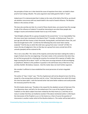the principles of Islam nor is their denial the cause of expulsion from Islam, nor belief in them proof of one's being a Muslim. The same argument view holds good for faith in "raj'ah".

Indeed even if it is demonstrated that it relates to the roots of the faith of the Shi'as, we should ask whether concurrence with any Jewish belief is the result of Jewish influence. The Muslims believe in the oneness of God.

The Jews also worship one God. As a result of these shared views, can anyone have the courage to talk of the influence of Judaism? It would be interesting to see what these people who indulge in taunts and emotional slander have to say in this matter.

"God Almighty will give life to a group of people for the second time." Is it an impossibility? Has this story never been mentioned in the Book of God ? "Consider, oh Muhammad, Those of a past age who left their homes in their thousands, fearing death, and God Said to them: Die, and then be brought back to life." (2:243) Has the following holy verse never been read by anybody? "And the day on which We shall raise a group from every "ummah" (27:83). If it means the day of judgement, then on that day not a group from every ummah but all the ummahs (peoples) will be restored to life.

This is not a new affair. The 'ulema of the majority community have been making this matter a target of attack since the very beginning. It has been noted, in this connection that when they do not find any grounds for criticising the veracity of an eminent Shi'a reporter of hadith, they begin taunting the Shi'as about "raj'ah" as if they were accusing someone of idol‐worshipping or polytheism. Relative to this problem in question is the well known story of Mu'min at‐Taq and Abu Hanifah. We believe, however , that this matter does not merit further argument.

We consider it sufficient to have established the moral perversion of certain misguided persons.

The author of "Fajru 'l‐Islam" says: "The fire of gehennam will not be allowed to burn the Shi'as, except for a few among them and then only for a time." Only God knows from which Shi'a book this view has been taken. I wish the learned writer had some better evidence and could provide the necessary proof for this view.

The Shi'a books clearly says: "Paradise is the reward for the obedient servant of God even if he is an Abyssinian slave, and hell is for the wicked even if he is one of the Sayyids of Quraysh. Traditions on the above subject have been related by the Holy Imams (a.s.) and they are so many in number that they can hardly be counted. If the above mentioned author is referring to the intercession of the Prophet (s.a.w.) or the Imams (a.s.) then of course the question of intercession is another matter which all the Muslims believe in. This matter will be dealt with in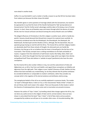more detail in another book.

Suffice it to say that belief in such a matter is hardly a reason to say that Shi'ism has been taken from Judaism just because the latter shows this belief.

Abu Hanifah agrees in some questions of marriage (nikah) with the Zoroastrians, but would it be appropriate to say that the Imam of the Hanafis had based his 'fiqh' (jurisprudence) on Zoroastrianism? And for further proof, advantage could be taken of his being a man of Iranian descent. In short, these are all baseless ways and means through which the desires of certain Shi'ahs men for mutual confusion and discord among the various Muslim sects are fulfilled.

The alleged influences of Christianity in the Shi'a religion is another taunt, which is hardly less painful. Honesty should demand that Ahmad Amin research his material more carefully. he erroneously considered sects like the Khitabiyyah, the Gharabiyyah, the Alawiyyah, the Mukhmasah, the Bazi'iyyah and the Ghullat as Shi'as, although, like the Qaramitah, they are apostate groups having no real link with the Shi'as. The Imania Shi'as and their religious leaders are absolutely aloof from these schools of thought; the aforesaid sects are hardly like Christians, but they go so far as to believe that the Imam is himself god in the the form of an incarnation. Their faculty concepts have a striking resemblance to the faith and beliefs of mystics. It appears from the statements of well‐known mystics like Hallaj, Gilani, Rafa'i and Badawi, etc. which they thought that they had reached a stage which was higher than divinity and godhead itself Those who believe in 'wahdat al‐wujud' (pantheism) also have the same conceptions.

But the Imamia Shi'as who number millions in Iraq, Iran and the subcontinent of India and Afghanistan are, as Shi'a, free from such beliefs, and regard these conceptions as infidelity and digression from the right path. Their religion is pure 'tawhid' (Oneness of God). Neither do they believe that God resembles any created being, nor do they tolerate that His perfect attributes be considered defective or comparable to creation's attributes; rather they consider any concept which is the negation of His eternal existence and attributes utterly wrong.

The metaphysical beliefs of the shi'as are carefully explained in numerous books. The smaller "at‐Tajrid" of Khwajah Nasiru 'd‐dinn at‐Tusi, or the monumental "Kitab al‐Asfar" of Sadru 'd‐ din ash‐Shirazi, both merit study in this subject. There are thousands of other books in which the theories of metempsychosis, divine union and re‐incarnation are proved erroneous.

However the author of "Fajru 'l‐Islam", by levelling utterly false charges against the Shi'as, has not done any useful service to the religion of Islam and its ummat (nation). Since we have shown in some detail that the book "Fajru 'l‐Islam" is full of false claims and accusations unsupported by evidence we will pass on to consider other areas‐ of misunderstanding. (We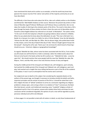have mentioned this book and its author as an example, so that the world may know how ignorant the masses must be if the 'ulema' and authors of the majority community are as we have described.)

The difficulty is that those who write about the Shi'as, take such unlikely authors as ibn Khaldun and Ahmad ibn 'Abdi Rabbih Andalusi as their source. Moreover the present day writers in their show of liberality regard Professor Wellhausen and Professor Dozy as authorities. But no one takes the trouble of referring to the scholarly works of the Shi'as. The result is that when a Shi'a goes through the books of these scholars he finds in them the same sort of absurdities about himself to which Raghib Isfahani has referred to in his book "al-Muhadirat". The author writes: "In the court of Ja'far ibn Sulayman a Muslim was giving evidence about someone's infidelity. When he was asked what he knew about the defendant, he said, "This man is Mu'tazili. he is Nasibi; he is Harwari; he is Jabri; he is Rafzi; he rails at 'Ali ibn Khattab, 'Umar ibn Abi Qahafah, 'Uthman ibn Abi Talib, and Abu Bakr ibn 'Affan. Also he abuses Hajjaj, who pulled down Kufah on Abu Sufyan, and on the day of Qata'if (the day of Tafur 'Ashura') fought against Husayn ibn Mu'awiyah". Hearing this Ja'far said, "Damn you! I do not know for which branch of learning I should envy you ‐ historical, religious or geographical knowledge!"

As regards 'Abdullah ibn Saba, whose name has been associated with the Shi'as, if one studies any Shi'a book one will find that he is held in contempt; rather the mildest works about him that are to be found in the books written by Shi'a authors are: "'Abdullah ibn Saba ‐ curses be upon him". We should mention that some people hold the view that 'Abdullah ibn saba, like Majnun, 'Amiri, and Abu Hilal, were in fact only ficticious heroes of story and legend.

During the middle period of the Umayyah and 'Abbasid rule, self‐indulgence, sport and play, had reached the middle period of the Umayyah and 'Abbasid rule, self-indulgence, sport and play, had reached such a height that story‐telling had become a part of the life of the residents of the palace. It was in such an atmosphere that the stories were contrived.

Our original aim was to dwell on this subject. But considering the repeated attacks on the authors of the present age, we thought it necessary to introduce briefly the beliefs and faiths, important principles and the articles of practice of the Shi'as. It should be noted that in the Shi'a religion the door of "Ijtihad" (endeavor to arrive at a conclusion regarding any religious problem) is always open, and so long as there is no violation of "ijma"' (consensus), the Book (the Holy Quran), sunnah, and intellectual reasoning, every "mujtahid" (religious scholar of exceptional merit) is free in his opinion; anyone who violates these limits and draws his own conclusion will be considered misguided; the opinion of such a man will be regarded as purely personal, individual and unfit to be followed.

In these pages it is not possible to deal with all matters in detail, so only those fundamentals of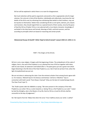Shi'ism will be explained in which there is no room for disagreement.

Not much attention will be paid to arguments and proofs as this is appropriate only for larger volumes. Our only aim is that all the Muslims, individually and collectively, may know the real beliefs of the Shi'as and, by refraining from attributing false beliefs to their brothers, may not do injustice to themselves. Rather than considering Shi'ahs as evil spirits, demons, jinn, beasts and monsters, they should regard them as a special branch of their society, since by the grace of God the Shi'as of Hadrat 'Ali (a.s.) are adorned with a true Islamic character, knowledge of and belief in the Holy Quran and Sunnah, blessings of faith, and kind manners, and live according to principles which are based on reasoning and certain proofs.

## Muhammad Husayn Al-Kashifi 'l-Ghita' Najaf al-Ashraf Jamadi 'l-awwal 1350 A.H. (1931 A.D.)

## PART I :The Origins of the Shi'ahs

Shi'ism is not a new religion. It begins with the beginning of Islam. The embodiment of the code of religion, that is, the seal of the Prophets (s.a.w.) planted the tree of Shi'ism together with Islam; with his own hands, he watered it and looked after it. The plant grew up to be a green tree which began blooming in the life‐time of the Holy Prophet (s.a.w.). But it had not yet born fruit, when the light of prophethood was put out.

We are not alone in advancing this claim. Even the eminent scholars from among Sunnis agree with us. For instance, 'Allamah Siyuti in his famous commentary "ad‐Durru l‐Manthur" Says in connection with God's words "Hum khayru l‐bariyah" (they are the best of created beings) (Surah: The Clear Proof: Ayat 7):

"Ibn 'Asakir quotes Jabir ibn Adbillah as saying: "We were present in the company of the Holy Prophet (s.a.w.) when 'Ali (a.s.) came towards us. Seeing 'Ali (a.s.) the Prophet (s.a.w.) said: "I swear by God the Almighty, who is the Master of my life, that he ('Ali (a.s.)) and his Shi'ahs shall be successful on the day of judgement."

Ibn 'Adi reports from ibn 'Abbas that when the verse "Inna l‐ladhina amanu wa 'amilu 's‐salihat"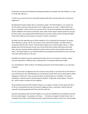(Verily these are those who believed and did good deeds) was revealed, the Holy Prophet (s‐a.) said to 'Ali ibn Abi Talib (a.s.):

"It refers to you and your Shi'as; God will be pleased with them and they with Him on the Day of Judgement."

Ibn Mardawa'ih quotes Hadrat 'Ali (a.s.) himself as saying: "The Holy Prophet (s.a.w.) said to me: 'Oh 'Ali, Did you not hear what God said: 'Inna 'l‐ladhina amanu wa 'amilu 's‐salihat ula'ika hum khayru 'l-bariyyah.' Verily it means you and your Shi'as. The promise between your people and me shall be fulfilled at the fountain of Kawthar; there, when all the nations shall be present to account for their actions, your people will be called forward, your faces, hands and feet shining with light'." These three hadith are to be found in as‐Suyuti's "ad‐Durr al‐manthur".

Ibn Hajar has also reported some of these traditions in his as‐Sawa'iq) from Darqutni‐ He quotes Umm Salamah as saying: "Oh Ali, You and your shi'as shall attain Paradise." Ibn Athir writes in connection with the word "qumh." that the Holy Prophet (s.a.w.) said to Hadrat 'Ali (a‐s.): "When people come into the presence of God, your Shi'as will be there content with God and He with them, and your enemies shall be subjected to God's wrath and their hands shall be tied to their necks." The Holy Prophet (s.a.w.) demonstrated this by putting his hands behind his neck, and said: "See, they shall be tied up in this way."

Probably this tradition has been reported by Ibn Hajar also in his as‐Sawa'iq" and other 'ulama' have also reported it in different ways, showing that it is among the well known hadith.

In az-Zamakhshari's "Rabi' al-Abrar" the following statement of the Holy Prophet (s.a.w.) has been recorded:

"Oh 'Ali, On the Day of Judgement the skirt of God's mercy will be in my hand and my skirt will be in your hand and your skirt will beheld by your descendants and the Shi'as of your descendants will be hanging on to their skirt. Then you will see where we will be taken (i.e. Paradise)." For further satisfaction, it will be useful to study Ahmad ibn Hanbal's "al‐Musnad" and an‐NaSa'i's "Khasa'is" etc., which contain a number of such traditions.

These traditions show that the Prophet of Islam (s.a.w.) spoke a number of times about the Shi'as of 'Ali (a.s.) and pointed out that on the Day of Judgement they, in particular, shall be safe and successful, God being pleased with them and they with Him.

Everyone who believes that the Holy Prophet (s.a.w.) was the embodiment of truthfulness and that the verse which begins "ma yantiqu 'an il‐hawa . . . " (He does not speak of himself unless 'why' is revealed to him) refers to the Prophet himself, realise that these hadith must be true. Those people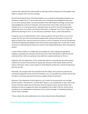however who understand the above hadith as referring to all the companions of the prophet, have failed to recognise their real inner meaning.

We find that during the days of the Holy Prophet (s.a.w.) a group of outstanding companions was attached to Hadrat 'Ali (a.s.). Not only did every man in this group acknowledge the Holy Imam (a.s.) to be his spiritual leader, the real transmitter of the Holy Prophet's teachings, but they also acknowledged him as the true interpreter and commentator of the orders and secrets of the Prophet (s.a.w.). It is this group which is popularly known as the Shi'a. Even the lexicographers support this truth. If you refer to the famous dictionaries "an-Nihayah" and "Lisan ul-'Arab", you will find the meaning of "shi'a" as "one who loves and follows 'Ali (a.s.) and his descendants."

If however we are to understand that "shi'a" means any person who loves 'Ali (a.s.) or is not his enemy, then the use of this word would be inappropriate, because only loving, or at least, not being an enemy of him, does not mean that a person is a Shi'a; if however, he has the characteristic of persistent following and obedience then the word Shi'a would apply; this is crystal clear to those who have an understanding of Arabic and a notion of the relationship between word, meaning and context.

In view of these realities, it is unlikely that any sensible man, after studying the appropriate traditions, could draw the conclusion that the word shi'a means the Muslims in general, but will understand that it refers to a particular class which has a special attachment to 'Ali (a.s.).

Hopefully, after this explanation, no fair‐minded man will try to conclude that the above quoted traditions do not prove the existence of a group who, because of their special relation with the master of the pious, 'Ali (a.s.) were superior to all the Muslims of that time, and who all expressed their love for him.

Personally, I do not agree with the assumption that the Caliphs, who could not accept this fact, consciously violated the words of the Holy Prophet (s.a.w.). It is possible many of them did not hear his edicts, or that those who heard them were unable to follow his directions.

Moreover, if the Statements of the Prophet (s.a.w.) in which he announced the rank and high position of Amiru 'l‐Mu'minin (a.s.) and the Ahlu 'l‐bayt (a.s.) are studied with an open mind, it will be seen that these reports do not only show merits of a general nature, but also contain clear indications of how to recognise the status and capability of the Leader of Shi'ism, and of how to contribute to the establishment and justness of that school of thought. The following traditions may be cited as examples.

"'Ali (a.s.) bears the same relationship to me as Harun (Aaron) had to Musa (Moses)".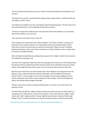"Oh 'Ali, only those with faith (iman) are your friends, and only the hypocrites (munafiqin) are your enemies."

"Oh people of my ummah. I leave behind two things worthy of great esteem ‐ the Book of God and my progeny, my Ahlu 'l‐bayt."

"According to the tradition of at‐Tayr, the prophet made the following prayer: "Oh God. Send to me your most beloved slave", and immediately Ali entered his presence.

"Tomorrow I will give this standard to the man who loves God and His Prophet (s.a.w.) and whom God and His Prophet (s.a.w.) also love."

"'Ali is with the Truth and the Truth is with 'Ali."

These traditions are mostly taken from "Sahih al‐Bukhari" and "Sahi'h al‐Muslim", and there are thousands of such authentic reports. This small booklet cannot accommodate details of them. Those who are fond of research work can study the famous book "Abiqat al‐Anwar" by Allama' Sayyid Hamid Husayn, which is ten times as voluminous as "Sahih al‐Bukhari" and is a master‐piece of research in the field of hadiths.

When the light of prophethood was extinguished, a group of the "sahaba" started to act to prevent the Caliphate from passing to 'Ali.

The cause of this opposition might have been the young age of the holy Imam, or the feeling among the Quraysh that the prophethood and the imamate should not be combined in the house of Banu Hashim; there might have been other causes, we do not have the space to discuss them here.

Both the Sunni and the Shi'a sects Wee however that, when allegiance was being taken from the Muslims, 'Ali (a.s.) did not accept the authority of Abu Bakr, and, according to the learned al‐ Bukhari ("Sahih"', see the chapter on the victory at Khaybar), he did not pay allegiance until six months had passed. Some of the eminent companions, like az-Zubayr, 'Ammar and Miqdad and others, also refused to pay homage to Abu Bakr.

The fact is that 'Ali (a.s.) had no craving for political power, nor desire to rule, other than in his capacity as Imam.

The talk that he had with ibn , Abbas at Dhiqar clearly proves which way the son of Abu Talib (a.s.) was going. Amiru 'l‐Mu'minin (a.s.) had only one purpose in view, and it was that "religion" might remain safe, "right" might prevail and "wrong" might be exterminated. Imbued with these high feelings, 'Ali (a.s.) resorted to protest only. He did not adopt any plans to overthrow the caliphs.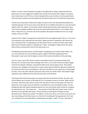Rather, in order to lead and guide the people to the right path he always cooperated with the government; his wise suggestions enabled Islam to flourish and meant that religious commands were made known to all. If Ali (a.s.) had not adopted this course of action, not only would Islamic unity have been shattered, but the people also would have been lost in the labyrinth of ignorance.

The Shi'as too continued to follow their leader; the spirit of the time demanded that differences should be ignored. For this very reason, they did not try to establish themselves as a sect during the regime of the first caliphs. Of course Ali's friends silently observed the modus operandi of every ruler and the changing conditions till at last the nation itself selected Ali (a.s.) as its leader. When Amiru 'l‐Mu'minin (a.s.) took the seat of the caliphate, Mu'awiyah revolted and sent out a large number of forces to Siffin.

A group of the "sahaba" (companions) remained from the very beginning with 'Ali (a.s.). The rest of the companions also sided with the Holy Imam. Eighty prominent companions, like 'Ammar ibn Yasir, Khuzaymah Dhu 'sh Shahadatayn and Abu Ayub al‐Ansari, nearly all of whom were either Badri (from the battle of Badr) or 'Aqb (Bay'atu 'l‐'Aqbi ‐ the pledge of 'Aqbi), joined 'Ali's party. Most of them sacrificed their lives for the Holy Imam (a.s.).

The fighting continued however, and Mu'awiyah's intriguings also increased. When Hadrat , Ali (a.s.) was martyred, the ruler of Damascus gave a sight of relief Islam disappeared from Mu'awiyah's royal courts and he began to revive all the tyrannical traditions of the past kings.

'Ali's (a.s.) pious way of life, devout manners and exalted character contrasted sharply with Mu'awiy ah's corrupt morals and his dealings with 'Amr b. al‐'As, with the Governorship of Egypt, Yazid and his despotic caliphate, and Ziyad ibn Abih and his activity against Islam. Mu'awiyah's notorious over‐indulgence and passion for revelry clearly demonstrated the depraved condition of his mind and of the court surrounding him. We have thus before us the simple way of living taught by Islam, and on the other side the pomp and vanity of the son of Abu Sufyan. Mu'awiyah's kingly aspirations were fulfilled with the hard‐earned money of the Muslims.

The dining cloth of the Amawi palace was always laid with the daintiest of foods. The vizier, Abu Sa'id al‐Mansur ibn al‐Husayn al‐Abi (died 422 A‐H.) recorded an event in his work "Nathr ad‐Dur". He writes: "Ahnaf ibn Qays used to say that one day when he went to Mu'awiyah, the latter put before him such a large variety of food that it was difficult to count the different dishes. He was bewildered when Mu'awiyah extended towards him one of the dishes which he did not recognise. He asked what it was. The answer was . . . the stomach of duck filled with sheep's brain, fried in pistachio oil and sprinkled with spices." Ahnaf said that on hearing this he began to weep. Mu'awiyah said: "Why do you weep?" He replied: "At this time 'Ali (a.s.) has come to my mind. One day I was sitting with the Holy Imam (a.s.); the time for breaking the fast approached. The Imam (a.s.) ordered me to stay. Meanwhile a sealed bag was brought. I asked: "O Imam, what does it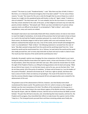contain?" The Imam (a.s) said: "Powdered barley". I said: "Was there any fear of theft, O Amiru l‐ Mu'minin, or is it because of financial stringency that it has been sealed?" "It is for none of these reasons," he said, "the reason for this care is only the thought that my sons al‐Hasan (a.s.) and al‐ Husayn (a.s.) might mix this powdered barley with butter or olive oil." Again I asked: "Is butter or olive oil unlawful?" The Holy Imam said: "It is not unlawful, but for the true Imams it is necessary that they remain attached to the ranks of the poor, so that indigence and want may not make the poverty stricken rebellious." Mu'awiyah said: "Ahnaf, you have reminded me of a person whose supreme merits are difficult to be denied."In az‐Zamakshari's "Rabi' al‐Abrar", and in other compilations, many such events are related.

Mu'awiyah's bad nature was inextricably linked with these unlawful actions; he had an inner desire to reach the height of wickedness. So he broke all the promises that he had made to Imam al‐Hasan (a.s.) and in the end had the Prophet's grandson poisoned. As a result of this state of affairs and these events, the Muslims began to look at Syria's politics with scorn and contempt; the true believers realised that Mu'awiyah was only a man of this world, and he himself acknowledged this truth. In az‐Zamakhshari's "Rabi' al‐Abrar", the following statement is narrated from the ruler of Syria: "Abu Bakr wanted to keep aloof from the world and the world kept aloof from him. 'Umar tested the world and the world tested him. As to 'Uthman, he took hold of the world and the world also madly pursued him; and I at every step tried with my heart and soul to make it a bed of roses‐ The result was that I became of the world and the world became mine."

Gradually, the people's opinion was changing; the close companions of the Prophet (s.a.w.) were letting the ordinary Muslims know about the superior merits, virtues and character of 'Ali (a.s.) and his descendants, which they had seen with their own eyes. Who cannot be moved when he recalls the sight of the Prophet of God (s.a.w.) lifting his loving grandsons onto his back and saying: "What do you think of your mount, it is not the best mount; and as for you, you are the best rifers." And do not these words, full of the purity of revelation, "al‐Hasan and al‐Husayn (a.s.) are the leaders of the youth of Paradise", demand to be known by all. Truth has a right to spread, and those who have a sense of truth in them are desirous of spreading it. The result of this desire for truth was that the common Muslims began inclining towards Shi'ism and opportunities were created for the advancement of this sect.

The greatest cause of the advancement of Shi'ism, however, was that bloody event which revolutionzed the Islamic world. This painful event of 61 A.H. which is known as the tragedy of Karbala' was the most momentous of its kind. The effects of the martyrdom of al-Husayn (a.s.) were felt by all, even those living in the most distant regions of the Muslim territory. Companions like Zayd ibn Arqam, Jabir ibn 'Abdillah al‐Ansari, Sahl ibn Sa'd as‐Sa'idi and Anas ibn Malik survived Karbala'. The pain they felt had no bounds, and, remembering their duty towards, and love for, the Prophet and his progeny, they intensified their efforts to make known the superior merits of Ahlu 'l‐bayt (a.s.). The Umayyad tyrants pursued them and these remaining sahaba were finally also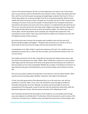victims of the sword and poison. But the cry of the oppressed is not made in vain. These events were not such that the nation of the Muslims were unaware of them. Indeed, they keenly observed them, with the result that a great many groups of people began to declare their love for 'Ali (a.s.). and his descendants; the numerical strength of the Shi'as increased dramatically. With the same rapidity with which the tyranny of Banu Umayyah was increasing, the love for Ahlu 'l‐bayt was also increasing in the hearts of the common people. The descendants of the Umayyids tortured and tyrannized to the extreme, but every action has its reaction. It is related that Shu'abi said to his son: "Oh my son, the world cannot harm the values which religion has brought, but those things which were made and adorned by the world can all be destroyed by religion. Just reflect upon 'Ali (a.s.) and his affairs. Did the descendants of the Umayyids ever relinquish their oppression? They concealed the merits of Ahlu 'l‐bayt. They tried to hide the realities of the situation and never left off singing the praises of their ancestors.

But all their plans were reversed: the Umayyids were humbled to dust and the name of Al Muhammad grew brighter and brighter". Though Shu'abi was known as an enemy of 'Ali (a.s.), these words of truth came from his tongue and have been preserved in history.

az‐Zamakhshari in his 'Rabi' al‐Abrar" reports this statement of Shu'abi: "Our condition was very perplexing if we loved 'Ali (a.s.) there was fear of murder, and if we became enemies to him, our ruin was certain."

The troubles and worries for the Ahlu 'l-bayt did not cease when the Sufyani throne came under the control of the Marwanid ruIer 'Abdu 'l-Malik. 'Abdu 'l-Malik Was a monster of a man by whose order Hajjaj razed the Holy House of the Ka'ba to the ground and mercilessly put the residents of that sacred place to the sword; having killed 'Abdullah ibn az‐Zubayr in the Mosque of al‐Haram, he desecrated the holy place and finally killed his cousin Sa'id ibn Ashdaq, who had been his former ally.

We must ask ourselves whether the perpetrator of such heinous crimes be called a Muslim. What should we think of his being called "Khalifatu 'l‐Muslimin" (the Caliph of the Muslims)?

In truth, the entire government of the Marwanids Was run on the same lines, and, with the exception of. Umar ibn 'Abdu 'l-'Aziz, every ruler showed the same Outrageous tendencies. Thereafter followed the rule of the 'Abbasids. During their period the height of tyranny far exceeded that of the Marwanids. A poet of that time said: We would have preferred to suffer the Marwanids oppression forever. May the justice and equity of the 'Abbasids go to hell."

How mercilessly the blood of the descendants of the Prophet (s.a.w.) was spilled, what strange ways were adopted to annihilate them! The literature of that time presents us with a picture of life at that time. The poets have, in different ways, described the tyrannical acts of these people. How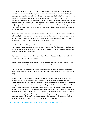true indeed is the picture drawn by a poet of al‐Mutawakkil's age who says: "God be my witness that, if the descendants of the Umayyids have so cruelly martyred the grandson of the Prophet (s.a.w.), these 'Abbasids, who call themselves the descendants of the Prophet's uncle, in no way lag behind the Umayyid family in oppression and tyranny. Just see, these tyrants have even demolished the grave of al‐Imam al‐Husayn. The Banu 'Abbas are repentant, however, for they feel regret over one thing, that they did not take part in spilling the spotless blood of al‐Imam al‐Husayn (a.s.) along with Banu Umayyah; they have tried to make amends by pulling down the grave of the Imam (a.s.)." These are just a few examples of the character of Banu Umayyah and the Marwanid and 'Abbasid kings.

Now, on the other hand, if you reflect upon the life of Ali (a.s.) and his descendants, you will come to know why Shi'ism spread and how it spread; moreover the truth will be revealed as to whether Shi'ism was the innovation of the Iranians, or the ingenuity of the Sabeans, or whether it was the simple and straight way of Islam as shown by Muhammad (s.a.w.).

After the martyrdom of Sayyid ash‐Shuhadah (the Leader of the Martyrs) Imam al‐Husayn (a.s.), Imam Zayb al‐'Abidin (a.s.) became the head of the 'Alawi family After the tragedy of Karbala', the Holy Imam lived a secluded life, mostly spent either in worship of God or in giving moral teachings and spiritual guidance to the people.

Highly pious and devout persons like Hasan al‐Basri, Tawus al‐Yamani, ibn Sirin and Amr ibn al‐ 'Ubayd were products of this very school.

The Muslims received great instruction and knowledge from the Sayyid as‐Sajjad (a.s.) at a time when the common people had been driven far off the paths of reality.

Imam Zayn ul‐'Abidin (a.s.) was succeeded by Imam Muhammad al‐Baqir (a.s.) who was also a shining example of the same noble character. His legacy was handed down to Imam Ja'far as‐Sadiq (a.s.).

The age of Imam as‐Sadiq (a.s.) was comparatively more favourable to the Shi'as because the Umayyid and 'Abbasid powers had been exhausted; open tyranny and oppression became rare. Accordingly the previously Suppressed truths and hidden realities rose like the sun and diffused like the light. Those who had been living in 'taqiyyah', hiding their beliefs on account of fear and danger to their lives, also disclosed their identity. The atmosphere was well-disposed to the expansion of Shi'ism. The Holy Imam (a.s.) spent day and night preaching; his sermons explained the teachings of Muhammad and Al Muhammad (s.a.w.). The teachings of the truth were now within the reach of every common man; larger and larger groups of people began to accept the 'Ja'fari' religion. This age was called the golden age for the propagation of Shi'ism, because before this the Muslims could not openly profess Shi'ism, nor even find out about its teachings.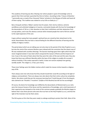This academy of learning was Iike a flowing river where people in quest of knowledge came to quench their thirst and later quenched the thirst of others. According to Abu 'l-Hasan al-Washsha'. "I personally saw a crowd of four thousand 'Ulama' (scholars) in the Mosque of Kufah and heard all of them saying: 'This tradition was related to us by Ja'far as‐Sadiq (a.s.).'"

Banu Umayyah and Banu 'Abbas's wanton love for power, their stormy violence, extreme worldliness and unlimited indulgence in luxuries, contrasted sharply with the love for knowledge of the descendants of 'Ali (a.s.), their devotion to God, their truthfulness and their abstention from corrupt politics, and it was this obvious contrast which showed people the truth of Shi'ism and led to the rapid expansion of this sect.

It goes without saying that many people's spiritual lives are ruined by their attachment to the world. Nevertheless they too have a natural feeling for the different branches of learning and the validity of religious matters.

The period about which we are talking was not only close to the period of the Holy Prophet (s.a.w.), but also the mind of the common Muslims were imbued with the conviction that the Islamic way of life was endowed with countless blessings. The Quranic teachings gave them rights which they had never imagined existed. It was Islam which conquered the Caesars of Rome and the Emperors of Iran; it was in the name of Islam alone that they were the rulers of the east and the west; they also knew that there was sufficient liberality within the laws of this religion to enable all to accept it without hardship. If the modus operandi is lawful, it does not restrain anybody from gaining worldly wealth. This religion is, in fact, pure mercy.

These inner feelings were the hidden motives which made the masses incline towards a religious way of life.

There always exist men who know that they should mould their social life according to the light of religious commandment. There are always men who desire that their entire culture be completely Islamic. But where could they pin the necessary learning from? Could they get it from the despots, who claimed to be "khulafa'u 'l-muslimin" (Caliphs of the Muslims) but did not live accordingly?

Of course, the desire for knowledge was fulfilled by the descendants of Muhammad (s.a.w.) who were the treasure houses of the Quran and the repositories of knowledge, and a vivid impression of their superiority was stamped on the minds of the common people; gradually the Muslims began to believe that it was these persons who were the true heirs to the Holy Prophet (s.a.w.), and that the right of the Imamate must be theirs alone.

The Shi'as grew so firm that they were ready to undergo anything to protect their faith. Most of the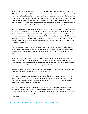Shi'as proved to be immeasurably brave, valiant and inspired with the spirit of sacrifice; Hajar ibn 'Adi al‐Kindi, 'Amr ibn Himq al‐Khuza'i, Rushayd al‐Hajari and 'Abdullah ibn Afif al‐Azdi to name but a few, were stalwart Shi'as who, on various occasions, confronted the antagonists; they triumphed despite the fact that the opposite group was always materially more powerful. The moral strength of these people showed the weakness of the apparently strong armies of the enemy; their sacrifices, on the one hand, shook the governments of the oppressors to their foundations, and, on the other, awakened the intellect of the elite and changed the way of thinking of the masses.

We must ask why these chivalrous men played with death in this way. Did they expect any worldly gain from the descendants of Muhammad (s.a.w.)? Were they afraid of loss of life and property? History has answered both these questions in the negative; the sons of 'Ali (a.s.), it is true, were bereft of material means, but they had no interest in this world. What had they to give? They gave Islam to those thirsty for the truth; the luminous hearts of these fighters were filled with strong faith and perfect sincerity and it was these very sentiments which drove them to do battle against tyranny and corruption.

If one considers the literary men of the first and second century of the hijrah, we will find that, in spite of the atmosphere of fear and despair, the poets of the time expressed their aversion towards the kings of their age and their misdeeds and praised the Ahlu 'l‐bayt of Muhammad al‐Mustafa (s.a.w.).

Numerous men of letters have testified against the ruling Caliphs and in favour of the true Imams (a.s.) in their works. Farazdaq, Kumayt, Sayyid al‐Humayri, Du'bil, Diku'l‐Jin, Abu Tamam al‐ Balarri'and Abu Faras al‐Hamdani are full of praise for the holy progeny. The following couplet of Abu Faras clearly shows how the poets of that age felt at that time.

"Religion has been shattered to pieces. Truth has be come the victim of oppression and the share of the descendants of the Prophet of God has been usurped."

Du'bil says: "I have been courting death for forty years, but no one has yet accepted to be the killer." Du'bil railed at Harun ar-Rashid, al-Ma'mun and al-Mu'tasim, and yet composed a great many famous panegyrics in praise of Imam Ja'far as‐Sadiq (a.s.), Imam Musa al‐Kazim (a.s.) and Imam ar‐Rida (a.s.) in the most colourful verse.

We must ask whether the Shi'as endangered their lives in vain? Did they give up their ease and comfort without any rhyme or reason? When we examine the causes and motives for their sacrifices, we find that it was only the truthfulness of the descendants of the Prophet (s.a.w.) which made them despise the sky‐high golden palaces and attracted their attention towards the miracle of the Quran.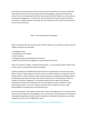We could pursue this discussion further but the aim of the introduction was merely to outline the origin and rise of Shi'ism. We hope nothing has been left ambiguous despite the brevity of this account. We can only emphasize that Shi'ism was started by the Holy Prophet (s.a.w.) himself, and its spread and propagation is a historical fact. We may observe the series of causes and motives, connected in a regular sequence, which gave rise to the separation of Shi'a Islam from the Islam of the rest of the community.

PART 2 :The Fundamentals of the Religion

Before we deal with the roots and the articles of faith in detail, we may divide our study of the Shi'a religion according to five principles:

- 1. Knowledge of God.
- 2. Identification of His Prophet
- 3. How to worship.
- 4. Doing good actions and refraining from bad ones.
- 5. Belief in ma'ad (the Day of Judgement), and punishment and reward

There are two parts to religion ‐ theoretical and practical ‐ or, more precisely, belief or faith in God and the unseen, and daily action based on this belief.

Tawhid (monotheism), Prophethood and ma'ad (the Day of Judgement) are the three basic arkan (pillars) of Islam. If anyone denies one of the arkan, he is neither a Muslim nor a believer (u'min); if he does believe in them he will be counted among the Muslims according to God Almighty (refer to the following words which have been taken from the Quranic text: "He who believes in God, His Prophet and the Day of Judgement"), and shall be entitled to all the rights of the Muslims. According to the holy verse the Muslim is the "one who believes in God, His Prophet and also performs good actions"; the "iman" (faith) of a Muslim refers to "belief in his heart, verbal acknowledgment and performance of fundamental acts".

One may add another "rukn" (pillar) to these three, which is the obligatory acts on which the entire Islamic way of life depends. These obligatory acts are of five kinds: (1) salat (prayers), (2) fasting, (3) zakat (generally speaking, the Islamic system of taxation), (4) hajj and (5) jihad (strivin or exerting oneself (even to the ex tent of fighting) for Islam).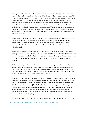We may explain the difference between Islam and iman as a matter-of degree. This difference is based on the words of God Almighty in the surah "al‐Hujurat", "The Arabs say: 'We have iman!' Say (to them, O Muhammad): 'You do not have iman; but say "we have accepted Islam (aslamna: lit. we have submitted)", for iman has not yet entered your hearts.'" For further elucidation, He says in another verse: "Verily, the believers (mu'minin) are those who accepted faith in God and His Prophet and never after that entertained any doubt; also they performed jihad with their life and wealth in the way of God ‐ they alone are the true believers." "Iman" thus means the combination of testifying one's belief, and of acting in accordance with it. These are the basic beliefs of all the Muslim. The Shi'as have another "rukn" thus bringing the total to five principles. This fifth pillar is faith in the imamate.

According to the Shi'a point of view, the Imamate, like Prophethood, is divine vicegerency. Just as it is God Almighty Who chose one from amongst His servants for the rank of Prophethood or Messengership, in the same way it is God Who chooses the Imams. God Almighty Himself commanded His Prophet to announce the Imamate (spiritual leadership) of the selected person before his death.

The Prophet, according to divine command, chose a leader for mankind to protect and complete the religious code. The only difference between a Prophet and an Imam is that the Prophet receives "wahy" (revelation) from God, while the Imam, through a special blessing, receives commands from the prophet. So the prophet is the messenger of God and the Imam is the messenger of the Prophet.

The Imamate comprises twelve perfect persons, and every Imam appoints his successor by a specific indication (nass). Like all Prophets, the Imams are also infallible; there is no possibility of their committing any sin. The infallibility of the Imam is clearly proved from what God Almighty says in the Holy Quran: "Verily, I make you an Imam for mankind. He (Abraham) said: "And of my offspring?" He said: "My covenant does not reach to the unjust."

Moreover, an Imam is superior to all men in all matters of knowledge and character, since the very purpose of the Imamate is that humanity may be exalted to the highest stage and may be adorned with knowledge and good actions through the imitation of the Imam. What has been said in the Holy Quran about Prophethood (that the Prophets have been sent to people as His signs, to teach them the Book and Wisdom), is equally applicable to an Imam too, because an imperfect person cannot make mother person perfect. What can someone give to another, when he does not possess anything himself? A misguided man cannot guide another man. Judged accordingly, an Imam is a little below the Prophet, but over every human being.

Anyone who believes in the Imam is called, according to the Shi'a terminology, a "mu'min" (a man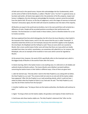of faith and trust) in the special sense. Anyone who acknowledges the four fundamentals, which are the centre of faith of all the Muslims, is called a "Muslim" and a "mu'min" in a general sense; as has been said earlier, all Islamic laws apply to him: the protection of his life, property, respect and honour is obligatory. By only refusing to acknowledge the Imamate, a person cannot be excluded from the Islamic fold. Of course, on the Day of Judgement, and in the stages of nearness to God and "karamat" (miraculous signs), the Shi'a faith will reveal its excellence over the Islam of the majority.

All Muslims are equal in the world and are brothers, but in the next world there will certainly be a difference of ranks. People will be accorded positions according to their performance and intention. The final decision is in God's hands in these matters, and it is therefore better for us not to involve ourselves.

We have explained that that which distinguishes the Shi'a from the Sunni Muslims is their belief in the Imamate of the Twelve Imams, and it is for this reason that this sect is called "Imamiyah". It should be noted that all Shi'as are not Imamiyah, because the word Shi'a applies to the Zaydiyah, the Isma'iliyah, the Waqifiyah and the Fathiyah as well. These are sects which are counted as Muslim. But a more careful study of other sects will show that there are many which are totally excluded from Islam, but which, nevertheless, are sometimes still called Shi'a as, for instance, the Khitabiyah, who are an example of the hundred or more sects which cannot be regarded as Muslim.

At the present time, however, the word of Shi'a specifically refers to the Imamiyah sect; which is the biggest body of Muslims in the world of Islam after the Sunnis.

In Islamic learning, faith in the twelve imams is not anything new; it is referred to in all reliable and authentic books by Muslim authors. The Imams Muslim and al‐Bukhari narrated traditions concerning the twelve Imams in their Sahihs in different ways. A few of them are given here:

1. Jabir ibn Samrah says, "One day when I went to the Holy Prophet (s.a.w.) along with my father, the Holy Prophet (s.a.w.) said: 'The universe shall not come to an end until all the twelve caliphs have appeared.' After this the Prophet (s.a.w.) said something silently, which I could not hear. I asked my father what the Prophet of Islam (s.a.w.) had said. He said: "The Holy Prophet (s.a.w.) says that all of them shall be from the Quraysh."

2. Another tradition says: "So long as there are the twelve authorities, the Muslims will continue to exist."

3. Again: "So long as there are the twelve caliphs, the grandeur and majesty of Islam shall live on.

4. God knows who these twelve caliphs are. The Holy Prophet's statement that "after me the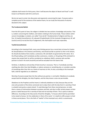caliphate shall remain for thirty years, then it will become the object of deceit and fraud" is well known to all Muslims both Shi'a and Sunni.

We do not want to enter into discussion and arguments concerning this topic. If anyone seeks a complete proof of the existence of the twelve Imams, he can study the thousands of volumes devoted to this subject.

#### **The Fundamental Beliefs**

From the Shi'a point of view, the religion is divided into two sections: knowledge and practice. That is, matters concerning the intellect, and matters relating to the human body. Those matters which concern knowledge or wisdom, are called "Usul ad‐din" (fundamentals of religion) and they are five: (1) tawhid (monotheism), (2) nubuwah (Prophethood), (3) the Imamate (Vicegerency), (4) 'adl (Justice) and (5) ma'ad (the Day of Judgement). We shall explain each topic separately.

#### **Tawhid (monotheism):**

According to the Imamiyah faith, every sane thinking person has a moral duty to know his Creator. He should believe in His Oneness and Divinity, and should ascribe no partner to Him in His Actions. He should also believe that creation, sustenance, life and death are governed by Him alone. He is the All-pervading, and if somebody ascribes sustenance, creation, or the giving of life and death to anyone else except God, he will be considered an unbeliever (kafir), someone who ascribes partners to God in His work (mushrik) and will be excluded from the Islamic fold.

Similarly, in obedience and worship of God sincerity is necessary. That is, if somebody worships anything else other than God Almighty, or adores someone or something else, or considers worship of something other than Him as a means of nearness to Him, he also, according to the Imamiyah faith, shall be regarded as an unbeliever.

Worship of anyone except God, the One without any partner, is not lawful. Obedience to anybody except God the Almighty, the Holy Prophets, and the Holy Imams is also not permissible.

Obedience to the Prophets and the Imams is indirectly obedience to God, because they are the ones who proclaim of the divine command; but to obey them with the idea that it is worship of God is unlawful and purely a satanic deceit. To seek blessings from these revered persons, to make them a means of intervention between ourselves and God, and also to offer certain prayers at their graves is lawful because this is worship of God and not worship of them. This is quite an obvious difference. According to the Holy words of God the Almighty, "in houses which God has permitted to be raised to honour, for the celebration in them of his name", it is lawful to offer prayers to God in these sacred places. This is the faith of "tawhid" of the Imamiyah sect, which is unanimously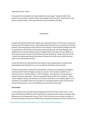supported by all our 'ulama'.

The subject of the monotheism has been divided into several types: "tawhid ad‐hdhat" (the Essence of the one God), "tawhid as‐siffat" (the Attributes of the One God), "tawhid al‐af'al" (the Actions of the One God). For the sake of brevity we will not dwell on this topic.

# Prophethood

Imamiyah Shi'as believe that all the Prophets were appointed by God; all of them were sent by Him and they are all His exalted servants. Hadrat Muhammad al‐Mustafa (s.a.w.) is both the "Seal of the Prophets" (the final prophet) and the Chief of all the Prophets. He was perfectly infallible, free from sin and deviation. All his life the Holy Prophet acted according to the will of God Almighty; God enabled him to travel from Masjid al‐Haram to Masjid al‐Aqsa, from where he went bodily to al‐ 'Arsh and al‐Kursi (the throne and the footstool) and even beyond the "hujub" (the veils) and the "suradiq" (the highest point beyond the heaven of heavens); he finally came to within two bow spans or less of the presence of God.

It is the firm faith of the Imamiyah Shi'as that whoever claims prophethood or revelation after Hadrat Muhammad al‐Mustafa (s.a.w.) is an unbeliever and liable to be put to death.

The Quran which today is in the hands of the Muslims is the same text of guidance and religious commands which God the Almighty revealed as a miracle. There has been no addition to, or subtraction from, it. Muslims believe in "tahrif" (changes in the original) ,are wrong, because it violates the Quranic declaration: "We have revealed the Book and We are its Protector". All the 'ulama' (religious scholars) are unanimous on this point, and if there is any tradition against it, it is unauthentic; any tradition which has come down to us through imperfect chains of transmission cannot be relied upon as source of knowledge and cannot thus be acted upon.

## **The Imamate**

It is the question of the Imamate which distinguishes the Shi'a sect from all other sects; it is the basic and fundamental difference which separates this school from other schools of thought. Other differences are not fundamental; they are "furu'i" (that is they are concerned with the details of the code of writing and action). Such differences of secondary importance are present between the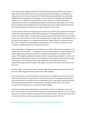views of the Imams (religious heads) of the majority community of the Muslims. For instance, a large number of the Hanafi laws do not correspond with the laws of Shafi'is- According to the Imamiyah sect, the Imamate is the rank of the Perfect Man; like prophethood it is sustained by Almighty God for the guidance of the people. The Shi'as believe that Almighty God ordered His Prophet (s.a.w.) to appoint 'Ali ibn Abi Talib (a.s.) as his successor, so that after the end of Prophethood the mission of spreading Islam might be continued. The Holy Prophet (s.a.w.) knew that this appointment would be looked at with displeasure by others. Many of them would think that it was due merely to brotherly love or undue regard for his son‐in‐law.

It is quite obvious that from the beginning of the Islamic era until the present age the Muslims have in general not truly followed the Holy Prophet's guidance. The All powerful declared in very clear words: "Oh Prophet, deliver immediately what you have been commanded to from your Lord and if you do it not, then (it will be as in you have not delivered His message (at all)". Accordingly after his last hajj the Holy Prophet (s.a.w.) gathered the people at "Ghadir al‐Khum" and addressed them thus: "Am I not better than every believer present here?" Then all of them said with one voice: "Certainly, O Prophet of God. You are superior to all of us."

After this testimony of allegiance the Holy Prophet (s.a.w.) said: "Whoever has accepted me as his master, then 'Ali is his master . . . " Moreover, on various other occasions, the Holy Prophet (s.a.w.) clearly explained the reality of the Imamate, sometimes by implication and sometimes quite openly. The Prophet thus performed his duty and God 's command was carried out. As soon as the Holy Prophet had breathed his last breath some Muslims presumptuously tried to hide the reality of the Imamate. They misconstrued the open declaration, and through their personal interpretation began to make changes in the religious commands. The result is well known as we have seen.

However 'Ali (a.s.) and his group, which comprised high-ranking sahaba (companions) kept aloof from this selfish struggle for power and refused to offer allegiance.

Amir al‐Mu'minin (a.s.) remained silent for some time; out of consideration for Islamic unity, but when Mu'awiyah tried to bring the Islamic rule and authority under his subjugation and started destructive activities, Amir al‐Mu'minin set himself against him; supporting a man like Mu'awiyah and tolerating his wrong policies would have been a deadly poison for Islam, and it was the foremost duty of Hadrat, Ali (a.s.) to protect the divine religion.

The Imamiyah believe that spiritually they are with 'Ali (a.s.) and are his followers; anyone who takes 'Ali as a friend, we too are friends of that person, and of whoever takes 'Ali (a.s.) as an enemy, we also are his enemy. This faith is based on the Holy Prophet's words: "Oh God, be a friend of the one who loves 'Ali (a.s.) and be an enemy of the one who is an enemy of 'Ali (a.s.)."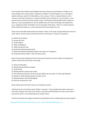The Imamiyah Shi'as believe that Almighty God never leaves the world without a Prophet or an Imam whether this "proof of God" is apparent or hidden. The Holy Prophet (s.a.w.), through an explicit ordinance, made 'Ali al‐Murtada (a.s.) his successor. 'Ali (a.s.) made al‐Hasan (a.s.) his successor, and Imam al‐Hasan (a.s.) made his brother Imam al‐Husayn (a.s.) his successor. In this way this chain continued until the eleventh Imam. The Eleventh spiritual guide Imam al-Hasan al-' Askari (a.s.) was succeeded by his son the twelfth Imam, the Imam of the Age, the Awaited One (a.s.), vicegerent of God. This belief is not an innovation of the Shi'as, rather it is a divine practice, which started with Adam (a.s.) and continued until the last Prophet (s.a.w.).

There are innumerable books written by eminent 'ulama' on this topic. We give below the names of some 'ulama' of early centuries who have written on the topic of "wasiyah" (succession).

- 1). Hisham ibn al‐Hakam.
- 2). Husayn ibn Sa'id
- 3). 'Ali ibn Miskini
- 4). 'Aliibn al‐Mughirah
- 5). 'Aliibn Husayn ibn Fadl.
- 6). Ibrahim ibn Muhammad ibn Sa'id
- 7). Ahmad ibn Muhammad Khalid al‐Barqi, the author of "al‐Mahasin".
- 8). The great historian 'Abdu 'l‐'Aziz ibn Yahya al‐Judi.

Most of these writers belong to the first and second centuries, but the number of writings from authors of the third century hijri is also large:

- 1). Yahya ibn Mustafad.
- 2). Muhammad ibn Ahmad as‐Sabuni
- 3). 'Ali ibn Ra'ab
- 4). Muhammad ibn al‐Hasan ibn Farukh
- 5). The well known historian, Ali ibn al‐Husayn alMas'udi, the author of "Muruj adh‐Dhahab".
- 6). Shaykh at‐Ta'ifah Muhammad ibn al‐Hasan at‐Tusi
- 7). Muhammad ibn, Ali ash‐Shalmaghani
- 8). Musa ibn al‐Hasan ibn, Amir

Books written after the fourth century can hardly be counted.

al‐Mas'udi wrote in his famous book "Ithbatu 'l‐wasiyah". "Every prophet had twelve successors". The writer also gave the names of all of them, and wrote brief life‐sketches of each; at the end of the work he writes in more detail about the twelve Imams.

The Shi'as have been the target of attack from both Muslim and non‐Muslim groups concerning the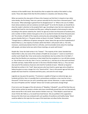existence of the twelfth Imam. We should thus like to explain the reality of this belief in a few words. Those who object think that the Shi'as believe in a baseless and ridiculous thing.

When we examine the view-point of these critics however we find that it is based on two rather naive doubts; the first being "How can a person naturally live for more than a thousand years?" and the second, "What advantage is gained from his disappearance?" or "What is the use of a hidden Imam whose existence and non‐existence are both equal?" As to the first doubt, we should like to draw the reader's attention to the prophet Nuh's age. According to clear Qur'anic statements the prophet Nuh lived for nine hundred and fifty years, calling the people to God among his nation; according to the opinion stated by the 'ulama' his age was at least one thousand six hundred years, and a number of other scholars have gone so far as to say that he lived to be three thousand years old. The scholars of hadith of the majority community also acknowledge the longevity of other persons besides Nuh (a.s.). The great scholar an‐Nuwi in his book "Tahdhibu 'l‐Asma"' writes: "Though there is a difference of opinion among the 'ulama' about the age and the Prophethood of Hadrat Khidr (a.s.), the majority of scholars admit that Khidr is still present with us. The Sufis, moreover, unanimously declare that he is still alive, and innumerable stories about his meetings with people, and about what was said at these meetings, are quite well-known."

Shaykh Abu 'Umar ibn Salah writes in his "Fatawa": "The majority of the 'ulama' decided that Hadrat Khidr is alive, but some of the scholars of hadith do not accept it." I seem to recall that in another work Shaykh Abu 'Umar wrote (and az‐Zamakhshari also has written this in his Rabi'u 'l‐ abrar) that the Muslims are unanimous in their belief that four prophets (a.s.) are still alive among us. Two of them are in the sky, that is 'Isa (a.s.) and Idris (a.s.), and two are on the earth and these are Khidr and Ilyas. Hadrat Khidr was born in the time of Ibrahim Khalilu 'llah (a.s.). Thus we have clear proof of the existence of persons who lived for hundreds of years. 'Allamah as‐Sayyid al‐ Murtada has written in his "Imali" about persons who have lived to a great age and as‐Shaykh as‐ Saduq has given an even a longer list in his "Kamal ad‐Din". Even in the present age we find some people who have lived for a hundred and thirty years, and some for even longer.

Logically we may pose the question: "If someone is capable of living to an abnormal age, say a hundred and thirty, then is it possible that in extraordinary conditions a man may live to be a thousand?" At the most you can call it something super‐normal. Moreover, is super‐normality in the case of Prophets and the "awliyah" (those near to God) a particularly strange thing?

If one turns over the pages of the old volumes of "Majallatu 'l‐Muqtatif", you will find that they are full of articles written by western scholars who have scientifically proved that man can theoretically attain eternal life in this world. Some western thinkers even say. "If Ibn Muljim's sword had not struck 'Ali ibn Abi Talib (a.s.), he would have lived forever. We are justified in this supposition because the Holy Imam was endowed with such qualities of excellence and healthy liying." Much could be added on this topic but the scope of this book does not allow further discussion.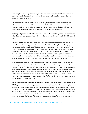Concerning the second objection, we might ask whether it is fitting that the Muslim nation should know every detail of divine will and intention. Is it necessary to know all the secrets of the world and of the religious commands?

Before demanding such knowledge we must carefully think whether under the screen of some outwardly incomprehensible divine command there is also hidden some other secret. For example, a stone, in itself, neither benefits nor harms man. Nevertheless, we kiss the Hajaru 'l‐Aswad (the black stone in the Ka'bah). What is the wisdom hidden behind that, we may ask.

The "maghrib" prayers are offered in three rak'ahs (units); the "isha'' prayers are performed in four units. The morning prayers consist of only two units. What expediency is there in this difference of units?

Rather we must realise that there are a large number of matters of which neither archangel nor prophet has any knowledge; concerning the knowledge of the last hour, God, the Almighty says: "Verily God alone has knowledge of the Hour, the Day of Judgement and when it will rain." A part from this, there are many other things which have been kept secret from us and their justification is unknown; we may refer, for example, to "ismu 'l‐'azam" (the Greatest Name), "laylatu 'l‐qadr" (the time for the acceptance of Invocation). We would like to make clear by the above examples that one need not be amazed at those divine matters whose wisdom is not apparent. Rather, we should recognise that an order or action exists, and act accordingly as believing Muslims.

If something is proved by the authentic statements of the Holy Prophet (s.a.w.) and his infallible successors, we must accept it. There is no other option: to enter into an argument about the nature of wisdom and man's obligation to find a reason for everything would be in vain. As far as possible we have deliberately not provided arguments and proofs in this small booklet; there are already large volumes in which these points have been discussed in detail; likewise we examine the "Qa'im Al‐Muhammad", the presently existing descendant of Muhammad (s.a.w.). There are a great number of authentic traditions concerning the "qiyam" of al-Mahdi (the rising of the twelfth Imam) in books of knowledge of both sects.

Though we acknowledge the fact that God knows better the wisdom about the occultation of Imam al-Mahdi, we would nevertheless point out that a number of rational proofs have already been given in reply to some Shi'a questionners. The decisive fact to bear in mind is that in every age the existence of an Imam is necessary; the world cannot remain without a divinely appointed guide; his very existence is a blessing for mankind, and his authority over us is also a blessing. The question of the wisdom hidden in this action of God's is thus invalid (a blessing cannot be rationalised) and acknowledgment of the "ghaybah" (occultation) is a necessary duty of every obedient Muslim.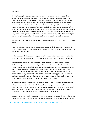## **'Adl (Justice)**

God the Almighty is not unjust to anybody, nor does He commit any action which could be considered bad by man's primordial sense‐ This is what is known as'adl (justice). Justice is one of the attributes of Almighty God , existence of which is necessary. It is essential, like all the other attributes of Oneness. The Ash'arites differ greatly in their beliefs from the Imamiyah and the Mu'tazilah (the Imamiyah and the Mu'tazilah are both called "'Adliyah") The reason for this opposition is that the Ash'arites reject "goodness and badness" as rational concepts, and affirm rather that "goodness" is that which is called "good" by religion, and "badness" that which the code of religion calls "bad". They regard knowledge of the Creator and recognition of the prophets as being outside the scope of the intellect; they accept miracles according to the dictates of religion, and they completely discard the dictates of wisdom. Consequently they are in perplexity.

The '"Adliyah" (that is, the Imamiyah and the Mu'tazilah) maintain that Islam is in accordance with reason.

Reason considers some actions good and some actions bad, and it is reason too which considers a bad act to be impossible for God the Almighty. He is All-wise and a bad action would be contrary to the dictates of His wisdom.

To chastise an obedient person is unjust, and injustice is a bad action; reason assures us that the Creator of the world could not unjustly chastise obedient Muslims as this would be a bad action.

The Imamiyah sect have paid special attention to the problem of 'adl and have included this attribute among the fundamentals of religion. (It is worthy of note here that the Ash'arites do not themselves deny justice; their faith in this respect is that whatever God the Almighty does cannot affect justice and goodness; they are of the view that wisdom is so insignificant that it cannot decide as to whether one thing is appropriate for God and another thing inappropriate.) The Imamiyah have clearly demonstrated that the best criterion for testing goodness and badness is wisdom. It is through this means that we have come to the conclusion that the All-perfect Being (God) must have all good attributes and be free from all imperfections.

On the basis of this view of goodness and badness, and faith in the justice of God, certain other beliefs have formed: the notion of "lutf" (God's all‐permeating benevolence and blessing), and the belief that it is the duty of a Muslim to thank God, Who has given him everything. The notions of "jabr" and "iktiyar" (the coercion of man by God and the freedom of man to act as he wishes respectively) are closely connected to the ideas of goodness and badness.

Absolute destiny and freewill have always been a major subject of discussion in every philosophy or religion. The Ash'arites believed in "jabr", and the Mu'tazilah and the Imamiyah held and still hold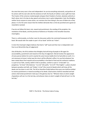the view that every man is free and independent: he can do everything voluntarily, and perform all his actions with his own will; Like the existence of self, the faculty of volition is also a gift from God. The Creator of the universe created people and gave them freedom of action; absolute authority is God's alone, but in his day‐to‐day speech and actions man is quite independent. God, the Almighty, neither forces anyone to some action, nor restrains him from doing it; the sons of Adam do as they please. It is for the same reason that the intellect demands that a crime be punished and a good act rewarded or praised.

If we do not follow this basic rule, reward and punishment, the sending of the prophets, the revelation of the Books, and the promise of Gehenna or Paradise in the hereafter becomes meaningless.

There is, unfortunately, no further room for discussion within the restricted framework of this book. We would refer the reader to part I of our book "ad‐Din wa 'l‐Islam".

In short the Imamiyah religion believes that God is "adil" (just) and that man is independent and free to act Ma'ad (the Day of Judgement)

Like all Muslims, the Shi'as believe that Almighty God will bring all people to life again for accountability, punishment and reward on the Day of Judgement. Ma'ad involves the appearance of every person before his Lord in exactly the same human bodily form he had while on earth. It is not necessary to know in what way the return will be effected; suffice it to say that whatever has been stated about final requital and accountability in the Book of God and the authentic traditions is a part of our faith, namely, belief in hell or paradise, comfort or pain in "al‐barzakh" (i.e. purgatory), "al-mizan" (the balance), "'as-sirat" (the path), "'al-a'raf" ("the heights", a place situated between paradise and hell), and "kitabu 'l‐a'mal" (the record of deeds) which will show all the deeds one has done in one's life. The Shi'as therefore finally believe that every one shall be entitled to receive punishment or reward according to his deeds. Good actions shall be rewarded and bad actions shall entail punishment: God says in the glorious Qur'an: "Whoever does an atoms weight of goodness will see it on the last day, and whoever does an atom's weight of bad will see it on the last day."

PART 3 :The Shi'ah ‐ The Divine Code of Living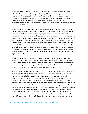The Imamiyah Shi'as believe that an ordinance or order of the Islamic code exists for every matter of life. The Divine Law has not even ignored the "diyat" (conciliation money) for injury of a very minor nature. There is no action of a "mukallaf" (a sane, adult person) which does not come under the scope of the following definitions: "wajib" (compulsory); "haram" (unlawful); mustahabb (desirable); makruh (undesirable) and mubah (lawful). Whether it is a matter of mutual transactions, trade, marriage or a promise and a pledge, the religious code will certainly guide us as to whether it is right or wrong.

The personality of the Holy Prophet (s.a.w.) was the fountainhead of all divine orders. God the Almighty conveyed these orders to the last Prophet (s.a.w.) through "wahy" (revelation through Jibril) or "ilham" (divine inspiration). The Holy Prophet (s.a.w.) communicated them to the people according to the circumstances prevailing, particularly to those companions who had been close to him at all times, so that they might carry on the mission of preaching throughout the whole world. There were many ordinances however which could not be taught, because the time for them was not opportune, or because there was no need for them during the time of the Prophet (it is also possible that they could not be promulgated for some particular reason known only to God). Hence some orders were known while some remained secret. The Holy Prophet entrusted these secret ordinances to his (divinely appointed) vicegerents. Later every "wasi" (vicegerent) communicated them to his successor, so that, according to the need of the hour and the spirit of the time, they might be made public.

The Holy Prophet taught as much as he thought proper for the situation and as much as the companions could understand according to their intellect. The recipients of this teaching were blessed according to their own capacity. It also happened that one companion received a positive order concerning a certain matter, and others heard a negative order in a matter resembling the former. The result was that the act was one but orders were (seemingly) two.

We must ask what the cause of this difference was. The reality of the situation was such that each matter was slightly different from the other: each had a particular distinguishing aspect. Those present who reported what happened at the scene, either did not pay attention to this or that peculiarity, or, if they did recognise it, did not mention this or that particular aspect. Because of inaccurate description of the circumstances, traditions may appear to contradict each other, but in reality they each apply to different circumstances. This inaccuracy caused difficulties in recognising the exact meaning of an instruction given to us by the Prophet. Accordingly, the companions who had the honour of close companionship with the Prophet supported "ijtihad". That is they realised the necessity for a thorough investigation of the text of the hadith and the situation in which it occurred. The different aspects of the hadith were probed, since the apparent meaning of the tradition is often different from the real aim of the codifier. It has been pointed out earlier, that these difference were largely due to faulty copying or shortcomings on the part of the reporters.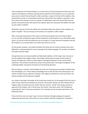Those companions of the Holy Prophet (s.a.w.) who were just and trustworthy and who were also reporters of traditions sometimes reproduced the statement of the Prophet (s.a.w.) in exactly the same words in which they had heard it, while sometimes, in place of the text of the tradition, they would state the order or commandment which was inferred from the tradition in question. In the first instance their position is that of a reporter or traditionalist, and in the second they have the position of learned scholars who declare their opinion about the meaning of the hadiths; the latter are also called "mujtihids".

All Muslims who do not have this ability and so therefore follow the opinion of the mujtahid, are called "muqallid". The act of acting on the verdicts of a mujtahid is called "taqlid".

After a thorough examination of this matter we find that during the time of the Holy Prophet (s.a.w.), the door of ijtihad was open and the companions of the Prophet (s.a.w.) themselves acted upon it; of course at that time ijtihad was not so strong as it is today, because the people could ask the Prophet (s.a.w.) directly about any matter they were not sure of.

As time passed, however, and relations between the Arabs and non‐Arabs increased, there were difficulties in understanding the correct meanings of the Arabic language. The number of traditions and reports became larger.

Among them were very many doubtful and fabricated traditions. At this stage it was not easy to test the validity of the religious orders. Accordingly "ijtihad" grew stronger and the modes of analysis of hadith were refined: scholars began to distinguish between correct and the faulty statements. The principle of preference was put into practice after a thorough investigation of two conflicting hadiths. Among the Imamiyah sect this blessing still exists.

We may observe, moreover, that all people are from one of two groups according to whether they have knowledge or not. Those without knowledge have to seek the help of the other group in all matters of which they are ignorant. Similarly in the religious world there are also two classes: the learned mujtahid and the ignorant muqallid.

As a matter of principle, the people of the second class should turn to the people of the first class in order to learn what they themselves do not know. Like all other Muslims the Shi'a believe that all religious orders are based upon the "kitab" (Qur'an), and the "sunnah" (the sayings, practise or approval of the Prophet, and, in Shi'ite Islam, the Imams). They add to these "aql" (intellectual reasoning) and "ijma" (consensus of opinion). The Imamiyah sect do not agree with others in the following matters.

Firstly, the Shi'as never act upon "qiyas" (arrival at decisions through analogy and reasoned supposition) because their Imams have on many occasions said that if supposition is allowed in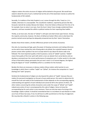religious matters the entire structure of religion will be dashed to the ground. We would have stated in detail the evils of such a method had not the aim of this book been merely to outline the fundamentals of Shi'a beliefs.

Secondly, if a tradition of the Holy Prophet (s.a.w.) comes through the Ahlu 'l‐bayt (a.s.) it is reliable, otherwise it is unacceptable. The unauthentic traditions, reported by persons like Abu Hurayrah, Samrah ibn Jundub, Marwan ibn Hakam, 'Imran ibn Hattan al‐Kharji and 'Amr ibn al‐'As for example, have no value in our eyes. Even the Sunni 'ulama' have strongly condemned these reporters, and have revealed the selfish or political motives for their reporting false hadiths.

Thirdly, as we have seen, the door of "ijtihad" is still open and shall remain open forever. Among the majority community, however, the doors of ijtihad are locked. When and on what basis this practice started cannot perhaps be adequately answered even by their 'ulama' themselves.

Besides these three matters, all other differences pertain to the articles of practice.

One who, by reasoning and logic, gains the power of drawing conclusions and making inferences can be said to have reached the rank of being able to do ijtihad; the mujtahid however should possess certain other qualities if we are to accept what he says about the divine code to be followed. The most important quality is that he possess a sense of "adalah'' (justice). "Adalah'' means that quality of the inner spirit with which a man can abstain from carnal desires and can develop a command over the correct performance of compulsory acts. In other words it is the state of fear of God which always permeates the just man's mind. It is of several degrees, the highest being the degree of "ismah" (infallibility) which is a condition for the Imamate.

Besides this there are necessary or obvious matters (those matters which pertain to sure knowledge in which there is neither "taqlid" nor "ijtihad", for instance the compulsion to "sawm" (fasting) and "salat" (prayers).

Similarly the fundamentals of religion are also beyond the sphere of "taqlid", because they are matters for personal investigation on the part of every adult person: this search to determine for oneself the truth and reality of the fundamentals of Islam depends on the corresponding sagacity, understanding and cognition of each individual and cannot be left to the opinion of others. All other matters concerning the articles of practice come under the scope of "ijtihad" and "taqlid". indeed every action of man is encompassed by this code of religion. Hence to know the corresponding law for each action is very necessary. There are only two ways of arriving at this knowledge: taqlid or ijtihad. It should be remembered that it is incumbent on each Muslim to make use of one of these two ways; if not, he will have to suffer punishment on the Day of Judgement. We may describe a Muslim's actions in the following way: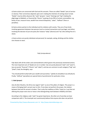a) Some actions are concerned with God and His servants. These are called "ibadat" (acts of service or slavery). Their correctness depends upon one's making the intention of coming closer to God. "Ibadat" may be either physical, like "salat" (prayer), "sawm" (fasting) and "hajj" (making the pilgrimage to Makkah), or financial like "khums" (a giving of one‐fifth of certain commodities: e.g. booty of war, treasure‐trove, wealth from mineral desposits), "zakat", "kaffarat" (fines or penalties).

b) Some actions pertain to the individual and his relations with society. They are of two kinds: involving agreement between two persons (such as mutual transactions and marriage), and others involving the decision of just one party (for instance "talaq" (divorce) and "itq" (the setting free of a slave).

c) Some actions are purely individual and personal; for example, eating, drinking and the clothes one chooses to wear.

Fiqh (Jurisprudence)

Fiqh deals with all the orders and commandments which govern the previously mentioned actions. The most important acts of 'ibadat are six in number: two are purely physical ("salat" and "sawm"), two are purely "financial" ("khums" and "zakat"), and two are common to each category ("hajj" and "jihad"). God, the Almighty, says:

"You should perform jihad with your wealth and yourselves." (jahidu bi amwalikum wa anfusikum). Finally, "kaffarat" (penalties) are special kinds of punishments for particular crimes.

# **1. Salat (prayer)**

Like all other Muslims, the Shi'as too regard "salat" as one of the pillars of religion. This prayer is a means of bringing God's servant near to Him. If one does not perform the prayer, the relation between God and His servant is broken. That is why the traditions of Ahlu 'l‐bayt (a.s.) say that not offering the prayer even once or twice is the distinguishing mark between infidelity and Islam.

According to the religious code "salat" has great importance. No other act of worship can bear comparison with it. The Imamiyah sect unanimously believe that anyone who does not perform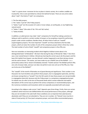"salat" is a great sinner: moreover he has no place in Islamic society. He is neither credible nor trustworthy‐ One is even permitted to criticize him behind his back. There are very strict orders about "salat"; five kinds of "salat" are compulsory;

1. The five daily prayers.

2. The "salatu 'l‐jum'ah" (the Friday prayers)

3. "Salatu 'l-ayat" (on the occasion of a solar or lunar eclipse, an earthquake, or any frightening natural event).

4. "Salatu 'l‐'idayn" (the salat of 'idu 'l‐fitr and 'idu'l‐azhar).

5. "Salatu Ka'bah).

In addition, an adult person may make "salat" compulsory for himself by making a promise or taking an oath to perform a certain number of prayers or by accepting a reward for performing prayers under certain conditions. Besides these, all other kinds of salat are "nawafil" (supererogatory prayers). The most important "nawafil" am those attached to the five daily prayers, which are twice the number of units of the compulsory prayers (that is thirty four units). The total number of units of both "nawafil" and compulsory prayers is thus fifty one.

Here we remember an interesting incident which Raghib al‐Isfahani wrote about in his distinguished book "al‐Muhadirat". We learn that during the days of Ahmad ibn 'Abdu 'l‐'Aziz there was a man named Kanani in Isfahan. Ahmad was learning the correct way to do the prayers and the basic Shi'a beliefs from Kawani. one day Ahmad's mother happened to see them during a lesson and she said to Kanani: "Oh master, you have made my son a Rafidi! (one of the Rafidah ‐ i.e. a particularly zealous Shi'a). Kanani immediately retorted: "Foolish woman! The Rafidah perform fifty one units of prayer daily, and your son does not perform even one unit out of the fifty one. How can he be one of the Rafidah?"

The "nawafil" of the month of Ramadan are of great blessing and significance. Their number is one thousand. Our Sunni brothers also perform these prayers, but in congregation (jama'ah), and they are known among them as "tarawih" from the Shi'a point of view these prayers are not permissible in congregation (jama'ah), because only the Friday prayer is a compulsory congregational prayer. For details one can refer to the tens of thousands books which contain elaborate and explicit descriptions of the correct way to perform the various compulsory or recommended prayers, and the numerous recitations and invocations which are especially associated with each prayer.

According to the religious code correct "salat" depends upon three things. Firstly, there are certain conditions which have be to be fulfilled before the actual performance of the prayers, although they are not included in the salat itself; these conditions are so important that salat becomes absolutely void if they are not attended to. They are six in number. (1) 'Taharah' (one must be in state of ritual purity); (2) Time (each compulsory prayer, and most ofthe recommended prayers,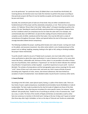are to be performed. "at a particular time); (3) Qiblah (that is one should face the'Ka'bah); (4) Covering (dress); (5) Intention (one must make the intention to perform the prayer according to that particular prayer); (6) Place (it must be lawfully occupied; and the place for prostration must be pure and clean).

Secondly, the constituent parts of salat are of two kinds: they are either considered to be a fundamental part of the prayer and thus absolutely compulsory, or not. There are four compulsory actions. (1) Takbiratu 'lihram (that is the initial "allahu akbar"); (2) qiyam (standing to perform the prayer); (3) ruku' (bending for ward) and finally sujud (prostration on the ground). Likewise there are four conditions which are compulsory but do not make the salat void if, for example, one unintentionally does not fulfill them: (1) qira'ah (the reading of Surah al‐Hamd and one other complete surah); (2) dhikr, tashahud and the final salam. One must be Still and in a state of remembrance throughout the prayer. Adhan and iqamah before the start of the prayer are both strongly desirable (indeed almost compulsory).

The following invalidate the prayer: anything which breaks one's state of wudu', turning one's back on the qiblah, and excessive movement. Any other action (which is not a fundamental part of the prayer) such as talking, laughing, weeping, looking to the right or left, eating or drinking invalidate the prayer if done intentionally.

To purify oneself, ready for any act of 'ibadat (such as prayer), one must make either wudu' (the minor purification) or ghusl (the major purification). In case of absence of water, or for some other reason like illness, unbearable cold, shortness of time, when it is not possible to do either of these two acts of purification, their substitute is "tayammum" (cf. the Qur'an which indicates this method of purification: fa tayammamu sa'idan tayyiban ‐ so perform tayammum on pure earth ‐ Surah al‐ Ma'idah). The scholars of jurisprudence and the lexicographers give various meanings for the word "sa'id". Some of them say it only means dust, and some say. that it means all kinds of pound (including sand, fragments of rocks, stones, and mineral substances). We have limited our ascription of salat to fundamentals: more detailed studies may be found in numerous other works.

# **2. Sawm (Fasting)**

According to the Shi'a faith, sawm (plural siyam), fasting, is a pillar of the Islamic code. There are four kinds of siyam: wajib (compulsory), mustahabb (recommended), haram (forbidden) or makruh (undesirable). The fasts made incumbent by the shari'ah (code of religion) are those of the Holy month of Ramadan. Other fasts become incumbent for some specific reason, for instance "sawm kaffarah" (the penalty fast), "badal"(in lieu of sacrificing an animal), in lieu of someone else, "nadr" (as a vow, or oath). The fasts of the months of Rajab and Sha'ban are desirable as well as other fasts too numerous to mention in this brief work. Fasting on the two 'id days and "ayyam at‐tashiq" (the three days after hajj) is forbidden; to fast on the days of 'Ashurah and 'Arafat are undesirable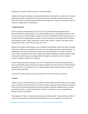(according to many the 'Ashurah day fast is strictly forbidden).

Details concerning the conditions and actual performance of a certain fast, as well as the courtesies (adab) and recitations associated with each, may be found in the large number of books on this topic. The Shi'as are extremely particular about the Ramadan fasts: many of them would rather die of thirst or hunger than not undertake it.

# **3. Zakat (Taxation)**

We may consider salat and sawm as two acts of worship ('ibadat) whose immediate basis is physical rather than spiritual. Zakat is of an entirely different nature. According to the Shi'as, after salat in rank comes "zakat" (taxation); indeed from some of the traditions of the Holy Imams (a.s.) it is understood that if somebody does not give "zakat" his salat also is invalid Like all other Muslims the Imamiyah consider "zakat" compulsory on nine things: Animals ‐ camels, cows, goats; Grains ‐ wheat, barley, dates, raisins; Money ‐ gold, silver coins.

Besides these, zakat on other things, such as all kinds of merchandise, horses and crops is desirable. The precise conditions and regulations can be found in the appropriate books of jurisprudence. It is interesting to note that all the rules are in basic conformity with those of the "fiqh" of the four Sunni schools of thought, Hanafi, Shafi'i, Maliki and Hanbali. Among those entitled to receive zakat are the poor and the needy, according to God the Almighty's command in Surah at‐Tawbah: innama 's‐sadiqatu li 'lfuqara' wa 'l‐masakin.

Zakatu 'l‐fitrah (poor‐tax on the day or 'idu 'l‐fitr) is compulsory for every adult and sane person who can financially support himself and his wife and children and other members of the household dependent on bun. Its quantity is one "sa'" (approximately 3 kilos) of wheat, barley, or dates on behalf of every individual.

The nature of zakat is basically the same; whether from the point of Shi'a or Sunni fiqh.

# **4. Khums**

"Khums" which is another kind of tax, is compulsory on five things: the booty taken from an enemy in war; the pearls and minerals drawn from the sea; hidden treasures mineral substances extracted from the land; and lawfully gained money which has been mixed with unlawful money, or profits gained from business, or land transferred to a "dhimmi" (a Christian or a Jew, living within the Muslim nation) from a Muslim.

The obligation of "khums" is based on the command of Almighty God : "Know that the one fifth of what you get as booty is the share of God, the Prophet (s.a.w.). the relations, the orphans, the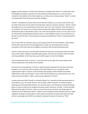beggars and the wayfarers" (Surah Anal). Moreover, we believe that "khums" is a right which God the Almighty particularly reserved for the descendants of Muhammad (s.a.w.). Since charity is unlawful for the children of the Holy Prophet (s.a.w.) (they can not receive zakat), "khums" is a kind of compensation from the bounty of God the Almighty.

"Khums" is divided into six parts: three are for God, the Prophet (s.a.w.) and his kith and kin; and the other three parts must be paid to the holy Imam, when he is present. However, "khums" should be handed over to the representative of the Imam, that is the "just mujtahid", when the former is in occultation, The Imam is to use these funds to protect the religion of Islam and to complete the development plans of the Muslim nations. This is the real purpose for which it is to be used; it must be stressed that Sayyid Muhammad Alusi wrote in a rather flippant manner in his commentary on the Qur'an when he said: "In these days the money accumulated from "khums" should be placed in the cellar."

This, in fact, refers to a fictitious story current among certain of our Sunni brothers, which relates that the Shi'as say that their Imam disappeared in a cellar; we need hardly point out that occultation of the Imam had not the slightest connection with the aforementioned cellar.

The Ithna Ashari Shi'as go to visit the cellar at Samarrah, because it was the place where the Holy Imam used to offer "tahajjud" (mustahab night prayers). Also that was the place where the father and the grandfather of the Holy Imam used to offer prayers to God, the Almighty.

The remaining three parts of "khums", as we have said, are the right of the poor people of the Hashimi family (that is the family of the Prophet).

Such were the commandments of "khums" which have been followed from the time of the Holy Prophet (s.a.w.) until now. After the death of the Holy Prophet (s.a.w.), the Muslim rulers suppressed this right to "khums" of the Al Hashim (the progeny of the Prophet) and instead collected the money into the baytu 'l‐mal in order that they themse1ves could control its use. This family, who had no right to "zakat", were now also deprived of "khums".

It seems that Imam Shafi'i himself, in his book entitled "Am", pointed out that the descendents of the Prophet (s.a.w.), for whom "khums" was set aside in place of charity, can neither be given anything out of the prescribed charities, nor may they take it, and if the giver of charity knowingly gives it to them he will have to forego his heavenly reward. Moreover, he adds: "if they have been deprived of the right of "khums" it does not mean that charity and other such things which are unlawful for them will become lawful." Indeed, since the people in power did away with this "right" altogether the books of jurisprudence of the majority community are quite silent upon this topic and not surprisingly Imam Shafi'i has omitted to mention this topic in his books on "fiqh".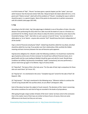In all Shi'a books of "fiqh", "khums" has been given a special chapter just like "zakat". (we must admit however that the learned scholar Hafiz Abu 'Ubayd al‐Qasim ibn Salam (died 224 A.H.), in his great work "Kitab al‐amwal", dealt with all the problems of "khums", including the ways in which it should be spent, in a special chapter. Most of the points he discussed are in perfect consonance with Shi'a beliefs (vide pages 303‐349).

# **5. Hajj**

According to the Shi'a faith, 'hajj' (the pilgrimage to Makkah) is one of the pillars of Islam. One who abstains from performing this duty when he is able must die the death of a Jew or a Christian as a punishment for his failing. Anyone who refuses to obey this divine command has come close to the threshold of being a "kafir". God refers to such a person in Sural Al 'Imran: "wa man kafara fa in allaha ghani un 'an al 'alamin ‐ anyone who commits "kufr" should know that God is independent of all the worlds."

Hajj is a kind of financial and physical "jihad". Indeed hajj should be called the true jihad, and jihad should be called the true hajj. If we ponder over their relationship a little carefully this hidden meaning and basic harmony between the two will become quite apparent.

Hajj becomes obligatory for a Muslim under the following conditions: he should have reached the age of puberty and be sane of mind; moreover he should have sufficient financial means, be in good health and the route leading to Makkah should be open and safe for travel. Should these conditions be fulfilled, hajj becomes immediately "wajib" (compulsory), but once performed, a person need never go again in his lifetime. Hajj is of various kinds:

(1) "Hajj afrad". The basis of this is the holy verse: "For the sake of God, hajj is compulsory for those who can reach there" (Al 'Imran: 97).

(2) "Hajj Qur'an". It is mentioned in the verse: "Complete hajj and "umrah for the sake of God" (Al Baqarah: 196).

(3) "Hajj tamatu'". This hajj is mentioned in the following verse: "Whoever wishes to continue the 'umrah to hajj should offer the sacrifice which, he can afford" (Al Baqarah: 190).

Each of the above has been the subject of much research. The decisions of the 'ulama' concerning the various conditions for each kind of hajj are recorded in the books of jurisprudence.

After going through a large number of books of the Sunni 'ulama' we have come to the conclusion that in this matter most of their laws are similar to those of ours; of course, there are some differences to be found, but they are not many.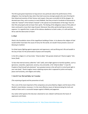The Shi'as give great importance to hajj and are very particular about the performance of this obligation. Even during the days when they had to journey amongst people who were thirsting for their blood and enemies of their honour and respect, they were unmindful of all the dangers. So devoted were they, and so anxious to reach Makkah, that they arrived in hundreds of thousands to make the "tawwaf" of the Ka'bah ("tawwaf" is the special circumambulation of the hajj). Fears for their life and property did not lower their spirits. The feeling of the obligatory nature of this pillar of Islam continued to move their steps forward. Moreover they often performed hajj at enormous expense. It is regretful that, in spite of this obvious obedience to God's orders, it is still said that the Shi'as seek the destruction of Islam!

# **6. Jihad**

Jihad is the foundation stone of the magnificent building of Islam. In its absence the religion of God would neither have been the cause of mercy for the world, nor would it have proved a source of blessing to mankind.

For jihad means fighting against oppression and oppressors, and sacrificing one's life and wealth in the way of God. for the preservation of peace and tranquility.

In the Shi'a religion it is of two kinds: "Jihad al‐akbar" (the greater jihad) and "Jihad al‐asghar" (the lesser jihad).

To face that internal enemy called the "nafs" (self), and to fight against its harmful qualities, such as ignorance, cowardice, oppression, tyranny, envy and pride, is the "jihad al‐akbar". It was the Prophet of God himself who declared: "your greatest enemy is the self and it is to be found right in your own body." Jihad al‐asghar means subduing anyone who is opposed to justice and equity, peace and humanity, and religion and reality.

# **7. Amr Bi 'l‐ma 'Ruf and Nahy 'ani 'l‐munkar**

(The enjoining of good and the prevention of evil)

This is one of the most important of the compulsory acts prescribed by religion and the basis of the Muslim's moral duties; moreover, it is the most effective means of demonstrating the truth and reality of Islam and is a successful weapon against infidelity and paganism.

Any nation which ignores this holy law is doomed to ruin; indeed it will become the haven of oppressors and cheats.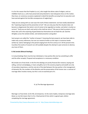It is for this reason that the Prophet (s.a.w.), who taught the divine code of religion, and our infallible Imams (a.s.), who have preserved and protected it, have laid great stress on this matter; they have, on numerous occasions explained in detail the benefits accruing from its execution and have warned against the horrible consequences of neglecting it.

Today we are seeing with our own eyes the truth of these statements: we have totally abandoned the "enjoining of good and the prevention of evil". We can only pray that the situation does not become so degenerate that what is ma'ruf comes to be regarded as munkar, and what is munkar as ma'aruf. "Verily we are God's and verily to Him shall we return!" We pray to God to protect us from these who call to the enjoining of good deeds but themselves do not heed the call. God the Almighty curses the wicked scholar, and wicked preachers and guides!

Such prayers are called the "mother of prayers" (meaning the best prayers); we have been able to make only cursory references, but one can research further on this topic in numerous books written by 'ulama' belonging to the period ranging from the first century A.H. till the present time. Countless fine works of research are still available despite the attempt in past centuries to destroy any trace of them.

# **8. Mu'amalat (Mutual Dealings)**

In mutual dealings there must be two individuals or two parties (the one has something to offer and the other accepts). Proposal and acceptance is a necessary condition.

Mu'amalat are of two kinds: in the first the dealings are purely financial (for instance, buying and selling, contract and pledging, or loans and gifts), but in the second, property and wealth are only of secondary importance, and the real aim of the deal between the two parties is the management of domestic life, the numbers of the Muslims and the preservation of the human race: a contract of marriage often involves money, but this is not an essential part of it.

# 8. (a) The Marriage Agreement

Marriage is of two kinds: (1) for life; (2) temporary. As the name implies, temporary marriage (also blown as mut'ah) means that it is for a fixed period of time which is agreed upon, before completing the marriage agreement.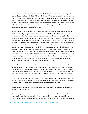So far as the first kind of marriage is concerned, all Muslims are unanimous in accepting it. As regards the second kind, only the Shi'ah consider it lawful. The latter base their acceptance on the following verse of the Holy Qur'an: "famastamtatum bihi minhunna fa'tu hunna ujurahunna ‐ and as such of them with whom you had mut'ah, give them their dowries as a fixed reward." (Surah an‐Nisa': 24) This problem has been a topic of discussion since the time Of 'sahaba" (companions of the Prophet (s.a.w.) up to the present time. In view of the importance of this matter it would seem appropriate to clarify some of its points.

No‐one who has spent some time in the study of religious laws can deny the validity of mut'ah. The Holy Prophet (s.a.w.) himself made it lawful. During the life of the Prophet (s.a.w.), many distinguished 'sahaba' put it into practice. Moreover, after the demise of the Holy Prophet (s.a.w.), the noble 'sahaba' continued to take advantage of this law. 'Abdullah ibn 'Abbas, Jabir ibn 'Abdillah al‐Ansari, ibn Mas'ud, and Ubay ibn Ka'ab, who were men of exalted rank and eminence, all insisted on the lawfulness of mut'ah and would recite the verse in this way: "Famastamtatum bihi min hunna ilaajalin musamman" (And as such of them with whom you had mut'ah for specified term). We should not however think that these companions considered that there was any defect in the Qur'an, since they were well‐versed in its interpretation, they merely wanted to make a commentary on this verse so that its meaning might be clearer. Since these distinguished persons had remained devoted to the Holy Prophet (s.a.w.) throughout his mission, they had had the opportunity to understand the interpretation of the Qur'an directly from the tongue of the Prophet himself (s.a.w.). They therefore had no hesitation in disclosing the true meaning of this verse according to what they had learnt from the Prophet (s.a.w.).

We should add however that the tradition which ibn Jarir mentions in his large work of Qur'anic commentary shows that the part "Ila ajalin musamman" (for a specified term) was actually an original portion of the verse, as revealed by God. Ibn Jarir quotes Abu Nasirah as saying: "When I read this verse before ibn 'Abbas he said: 'Say 'ila ajalin musamman'. I said that I did not read like that. Upon this ibn 'Abbas said three times 'By God! This verse was revealed in this very way.'"

It is obvious that such an exalted personality as ibn 'Abbas would never have wilfully changed the text of the Qur'an. If this tradition is correct, the meaning of this eminent Companion must surely have been that God the Almighty had revealed its interpretation in this way.

According to all the 'ulama' this temporary marriage was allowed and practiced by the closest companions of the Prophet.

Those who reject the lawfulness of mut'ah insist that God revealed further commands to his Prophet which revoked the former law. The various hadith which are concerned with this revocation have conflicting meanings and cannot be relied upon. For the revocation of an express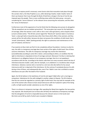ordinance an express proof is necessary: some Sunnis claim that revocation took place through the sunnah, that is, the Holy Prophet (s.a.w.), after declaring it lawful, made it lawful. Some of them say however that it was through the Book of God that a change in the law of mut'ah was imposed upon the people. There is even conflicting views within the latter group : one party considering the "verse of divorce" as the relevant verse concerning the revocation, and the other the "verse of inheritance".

Furthermore most of the opponents of mut'ah think that the following verse proves its abrogation "Illa ala azwajuhum aw ma malakat aymanuhum". The verse gives two causes for the lawfulness of marriage, either the woman is one's wife or she is one's slave‐girl (kaniz), and as Sayyid al‐Alusi (a Sunni scholar) writes: "The Shi'ahs cannot regard the "Mumtu'ah" (woman taken in mut'ah) as 'kaniz', a slave‐girl (who is bound by laws other than those which affect a free woman), and they cannot call her the wife either, because she does not possess the conditions of wife‐hood, that is 'mirath' (inheritance), 'iddah' (waiting period); the right to sustenance and maintenance on the part of husband, and divorce."

If we examine al‐Alusi claim we find it to be completely without foundation. Contrary to what he says, the wife in a temporary marriage does have certain of the rights of wife-hood. One of these concerns inheritance. The wife of a temporary marriage may receive the inheritance (unconditionally according to some Shi'a 'ulama', and according to others, on condition that the right to inheritance is stipulated at time of marriage contract). Moreover if al‐Alusi is claiming that inheritance is an obligatory feature of non temporary marriage, then he is not speaking in accordance with the law. according to the Islamic code there are many occasions where the law of inheritance become invalid: a wife, who for example, is an unbeliever or a murderess does not get inheritance. Likewise a woman who is married to a sick man who dies before he has sexual intercourse with her is deprived of the inheritance. On the contrary if somebody divorces his wife during a time of illness, and subsequently dies, even if her 'iddah is over she is entitled to receive inheritance one year after the death of her husband.

Again, the Shi'ah believe in the lawfulness of mut'ah and regard 'iddah after such a marriage as compulsory. Subsistence for the wife (nafagah) is another subject of dispute. The Shi'a believe that this too cannot be regarded as a primary right of wife‐hood. One may look for example at the case of the women who refuses to have sexual intercourse with her husband in spite of her being a wife; no faqih would consider subsistence as one of her rights.

There is no divorce in temporary marriage: after spending the Weed time together the two parties may separate. We should point out to those who still deny the Iawfulness of temporary marriage that the abrogation of mut'ah is impossible because the relevant verse is in the Surah anal‐ Mu'minin and al‐Mi'raj, both of which were revealed in Makkah.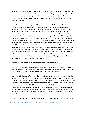Moreover, even some distinguished Sunni 'ulama' say that the Qur'anic verse concerning mut'ah was not revoked. az‐Zamakhshari, in his commentary al‐Kashshaf, reports, on the authority of ibn 'Abbas, that the verse concerning mut'ah is one of the irrevocable ones. Other 'ulama' have reported that Hakam ibn 'Ayniyah, when asked whether the verse of mut'ah had been revoked, said that it had not.

At first the majority community of the Muslims acknowledged the lawfulness of mut'ah, but later they began claiming its revocation; we have tried to show the weakness of their claims. Sometimes as we have seen they tried to prove abrogation of the verse by another verse, and sometimes, as we shall see, they attempted to prove the abrogation of the verse through a tradition : they rely upon the tradition in the 'sahihs of al‐Bukhari and Muslim which relate that the Holy Prophet (s.a.w.) made mut'ah unlawful either during the Conquest of Makkah, or the Conquest of Khaybar, or the Battle of Awtas. These hadith are the subject of considerable dispute. It is even reported on the authority of Qadi Ayad that some 'ulama' say that the mut'ah was made lawful a second time after a first abrogation, then subsequently made unlawful for the second time. Moreover it is recorded in some books that mut'ah was revoked on the occasion of hajjat al‐ wida'. (that is the last hajj) in the 10th year of the hijrah. Other books show that this was not so and that it was revoked during the battle of Tabuk in the 9th year of the hijrah. Some writers claim that mut'ah was abrogated during the battle of Hunayn in the month of Shawwal in the 8th year of the hijrah; it is also claimed by some that the Holy Prophet (s.a.w.) made mut'ah lawful on the occasion of the Conquest of Makkah, but declared it to be unlawful only a short time later in the very place he was supposed to have declared it lawful.

Most of the Sunni 'ulama' are of the opinion that the abrogation of mut'ah.

We must stress that the Qur'anic Verse concernin mut'ah is not called into question by anyone who examines the validity of these so-called hadith. Moreover the hadith reported by the Sunni (ulama) are so full of conflicting reports that their falsehood is self‐evident.

It is reported in the Sahih of al-Bukhari that Abu Raja' quotes 'Imran ibn Hasin as saying that the verse concerning mut'ah is present in the Qur'an and "we acted upon it in the life time of the Holy Prophet (s.a.w.); neither did Allah make it unlawful in the Holy Qur'an, nor did the Prophet (s.a.w.) prohibit it during his life time. The prohibition of mut'ah was an arbitrary act of one man. and it is said that this man was the Calip 'Umar." It is also reported in the Sahih of Muslim on the authority of Atta' that "one day Jabir ibn 'Abdillah al‐Ansari came to perform 'umrah and people asked him various questions. We went to visit him at his house. When he was asked about mut'ah, Jabir said: 'Yes we practiced mut'ah in the days of the Prophet (s.a.w.) and also in the days of Abu Bakr and 'Umar.'"

Muslim gives another report and that is from Jabir also. He says: "During the days of the Prophet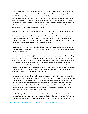(s.a.w.) we used to practice mut'ah while giving a handful of dates or a handful of baked flour as a dowry." Muslim also reports in his Sahih that Abu Nudrah said that he was sitting with Jabir ibn 'Abdillah al‐An‐Sari when another man came in and said that there was a difference of opinion about the two mut'ahs (namely the mut'ah of temporary marriage, and the kind of haj called hajj tamattu'a) between Ibn 'Abbas and Ibn Zubayr. Jabir said: "While the Holy Prophet (s.a.w.) was present we used to act upon both of them, but later 'Umar prohibited both of them, so we could not do them again." Indeed they could not do it again because Hadrat 'Umar would have a man stoned to death if he was caught practising mut'ah.

The fact is that if the Chapter relevant to marriage in Muslim's Sahih is carefully studied, we will find such contradictory statements that we can only wonder at their source. There are claims of abrogation in one place, while in another place proofs of non‐abrogation are given. As an example of such hadith we may quote Jihni who says: "On the occasion of the conquest of Makkah, the Prophet (s.a.w.) himself ordered that we should be permitted to perform mut'ah, but we had still not left that place when the Prophet (s.a.w.) forbade us to do it."

Thus abrogation is sometimes attributed to the Holy Prophet (s.a.w.), and sometimes to Hadrat 'Umar. Moreover they say that mut'ah was current during the time of the Prophet, and during the period of the first Caliphate.

They also say that Hadrat 'Ali (a.s.) forbade Ibn 'Abbas on various occasions to talk about mut'ah, and so the latter subsequently changed his opinion about it. In a refutation of this we may cite the report that says that once Ibn Zubayr stood up in Makkah and said: "There are some people here who have been deprived of foresight just, as God has deprived them of their eye‐sight: such persons are those who claim that mut'ah is lawful." (Here the reference was to Ibn 'Abbas, who had become blind.) At this, Ibn 'Abbas uttered loudly. "Why? I swear that mut'ah was practiced up to the time of 'Ali (a.s.)." This clearly shows that Ibn 'Abbas never changed his opinion, and that even during Ibn Zubayr's caliphate he stood by his belief.

Rather surprisingly, the prohibitory order has even been attributed to Hadrat Amir al‐mu'minin (a.s.), though it was characteristic of all the Imams (a.s.) that they had declared mut'ah wedlock to be lawful. Imam 'Ali's statement that if 'Umar had not forbidden mut'ah there would have been only a few unfortunate men who committed fornication has become proverbial at‐Tabari has reported this tradition in his "tafsir" also. In this connection Imam Ja'afar as‐Sadiq is reliably understood to have said: "I do not do taqiyah (to deliberately conceal one's beliefs or opinions under certain conditions) in the matter of three things:

mut'ahtu 'l‐hajj, mut'atu 'n‐nisa', and al‐mash 'ala 'l‐khafayn." (The latter item refers to the Sunni practice of wiping over the shoes in place of washing the feet when performing wudu'.) According to the principles of jurisprudence the conflicting reports of the Sunni commentators have been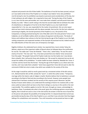analyzed and proved to be full of false hadith. The lawfulness of mut'ah has been proved, and just as it was lawful at the time of the Prophet so it is today It was Hadrat 'Umar who prohibited mut'ah during his rule; his prohibition was based on personal social considerations of the day, but it had nothing to do with religion. He is reported to have said, "During the days of the Prophet (s.a.w.) two mut'ahs were permissible, but I now make them unlawful, and will punish those who disobey my order." What is worth noting is this that the second Caliph did not attribute the order of unlawfulness or abrogation of mut'ah to the Holy Prophet (s.a.w.), but made himself responsible for it. He, too, was responsible for the matter of punishment. We can only repeat what we have tried to demonstrate with the above example: that mut'ah, the Qur'anic ordinance concerning its legality, the Sunnah (practice) of the Prophet (s.a.w.), the practice of his Companions, its being practised during the rule of Abu Bakr and in the early period of 'Umar's own Caliphate, are all verifiable realities which are above all argument and discussion. The books of history and traditions bear witness to the fact that during the age of the Prophet (s.a.w.) the highranking companions and respected members of the Quraysh all practised mut'ah; indeed many of the noble Muslims of that time were sons of temporary marriages.

Raghib al‐Isfahani, the celebrated Sunni scholar, has reported that a Sunni scholar Yahya ibn Aktham, asked one of the important nobles of Basrah whom he followed about the justification for mut'ah. The noble siad "'Umar ibn Khattab." "How is this," asked Yahya, "he was the sworn enemy of mut'ah." The man said: "Yes, it has been proved that once Hadrat 'Umar announced from the pulpit: "Oh people! God and His Prophet made two mut'ahs lawful, but I now declare them unlawful. Also I will punish those who disobey me.' We accept his statement but we do not accept the validity of his prohibition." A similar hadith has been related by 'Abdullah ibn 'Umar; it is shorter and less harsh than the former: "During the age of the Prophet (s.a.w.) there were two mut'ahs, and I now make them unlawful." Some have argued that 'Umar did not want to alter the command of Allah but only to make a law which was suitable for the society of the time.

At this stage it would be useful to recall a great work by a renowned scholar of the 6th century A.H., Muhammad ibn Idris al‐Hilli, namely the "sara'ir", in which the author writes: "Temporary marriage within the Islamic code of religion is lawful. Muslims believe that its lawfulness is proved according to the Book of God and also according to the Sunnah. However some people have claimed that it had been revoked, but the veracity of this requires proof. Moreover 'aql (the faculty of reason which allows us to understand the workings of God in his creation) tells us that every useful act about which we have no fear that it will give us any loss in this world or the next is permissible. This condition applies to mut'ah. We must, through our reason, acknowledge its lawfulness. Now, if somebody asks what is the proof, given the conflicting opinions concerning its legality, that it would not cause us loss in the next world, the answer is that the onus of proof lies on the person who pleads the possibility of its being harmful. It is beyond doubt that mut'ah was permissible during the days of the Holy Prophet (s.a.w.), and that it was only later that they began talking of its unlawfulness and revocation. Thus until revocation can be proved we have no right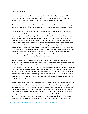to deny its lawfulness.

"When we examine the hadith which relate that the Prophet did make mut'ah unlawful, we find that these traditions all have weak chains of transmission and do not qualify as sources of certainty, nor do they provide a justification for action on the part of the Muslim.

"Let us examine again the relevant verse in the Qur'an. It occurs after the passage concerning the women who are mahram (one is not allowed to marry them for reasons of consanguinity, etc.) "

And lawful for you are all (women) besides those mentioned', so that you may seek them by means of your wealth, taking (them) into marriage, and not committing fornication; and those with whom you concluded mut'ah give them their dowries as a fixed reward, and it shall not be a sin on you in whatever you mutually agree (to vary) after the fixed reward" (Surah an‐Nisa'). In this holy verse the disputable work is "istamta'tum" which has two meanings ‐ either to take pleasure in and profit from, or to make the agreement for mut'ah according to the Islamic code ‐ the first is the literal meaning and the second is according to its meaning within the Islamic code. According to the principles of 'fiqh', if a word in the Qur'an has two meanings ‐ one literal and the other used specifically in the language of the "shari'ah" then the latter meaning must be accepted and the literal meaning should not be relied upon. That is why for example the words "salat", "zakat", "sawm" and "hajj" are all to be understood according to the precise meaning of the Islamic shari'ah (code), and not according to the literal meaning to be found in the dictionary.

We have already made it dear that a well-known group of the companions believed in the lawfulness of mut'ah and that Amir al‐mu'minin himself openly declared its lawfulness; 'Abdullah ibn 'Abbas used to enter into polemical discussion with ibn Zubayr on this topic and these discussions became so widely known that they were not only talked of by the common people but the poets of that time also gave vent to their reactions in their verses. Also 'Abdullah ibn Mas'ud, Mujahid, Ata'i, Jabir ibn 'Abdullah al‐Ansari, Salmah ibn al‐Akwa', Abu Sa'id Khudri, Mughirah ibn Sha'hab, Sa'id ibn Jabir and Ibn Jarih also gave the verdict that mut'ah was lawful. All these men are esteemed and trustworthy men of knowledge; they arrived at their decision through careful examination of the matter.

We have so far thrown light on this topic from only a religious or historical point of view. Now let us assess it from the ethical and social point of view. Islam is a great blessing and mercy for the world. The message of Islam is like a divine song which is diffused from heaven over the world of man, and which gave and still gives the answer to those who seek to understand the reason for man's existence on earth. Our revealed religion suits every age, meets the needs of all men in every age in this world, and guarantees for them prosperity both spiritual and material. Islam was revealed by God not to make man's life harder but on the contrary, to fill it with mercy, meaning and order. That is why Islam is the most perfect religion and the last code of religion before the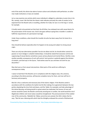end of the world; this divine law adorns human culture and civilization with perfection; no other man‐made institutions or laws are needed.

Let us now examine one activity which every individual is obliged to undertake at some time in his life, namely, travel. We find that the Islamic code indicates precisely the code of conduct to be expected from the Muslim who is travelling, whether for trade, for war or on the hajj or 'umrah, for example.

It hardly needs to be pointed out that God, the All‐Wise, has endowed man with sexual desire for the preservation of the human race. And it also goes without saying that a traveller is unable to fulfill the requirements of a permanent marriage.

Under these conditions, what should this traveller do who has been away from his home for a long time?

How should be behave especially when he happens to be young and subject to strong sexual urges.

There are only two alternatives possible if we do not allow mut'ah; he should either control his passion or must indulge in unlawful relationships. It should be stated that excessive control and suppressing of sexual desires sometimes causes serious physical and mental illness. Sterility is also another possible consequence of such self‐control. Such practice is patiently against the dictates of wisdom, and God says in the Quran, "God wishes ease for you and does not wish for you discomfort."

May God save us from sexual mal‐practices. Most parts of the world are suffering its consequences today.

I swear to God that if the Muslims act in compliance with the religious laws, this universe, according to the divine promise, will become complete mercy for them, and man will live in harmony and prosperty.

Mut'ah is thus a welcome and necessary law of the Islamic religion. If the Muslims acted in accordance with the conditions for lawful mut'ah (the making of an agreement between the two parties stipulating the time limit and dowry, and the 'iddah, for example), and take advantage of this divine blessing, evil‐doing would to a great extent be eradicated, the honour of man and woman would be saved, the Muslim community would grow in number, the world would be rid of illegitimate children and moral values would be strengthened. The pronouncement of the exalted man of the community, 'Abdullah ibn 'Abbas cannot be over‐praised. Ibn Athir relates that he says, "Mut'ah was a blessing with which God the Almighty endowed the ummah of Muhammad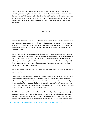(peace and the blessings of God be upon him and his descendents) and, had it not been prohibited, no‐one, except the truly perverted ones, would have committed adultry (see the "Nahayah" of Ibn Athir and the "Fa'iq" of az‐Zamakhshari). The effects of his exalted teacher and guardian, Amir al‐mu'minin are reflected in this statement of Ibn Abbas. The fact is that the Islamic world is rejecting this divine mercy and as a result has plunged itself into shameless immorality.

### 8 (b) Talaq (Divorce)

It is clear that the essence of marriage is the very special union which is established between man and woman, and which makes the two different individuals close companions and partners to each other. The cooperation and communion between wife and husband may be compared to a person's eyes and hands ‐ each hand is different from the other but each complements and perfects the other.

The very nature of this act, that two personalities, who are quite unacquainted with each other, are so strongly joined and united through wedlock that it precludes any conception of a stronger union, shows the particular strength of this alliance. There can be no better words than the following verse of the Holy Quran: "Hunna libasuln lakum wa antum libasuln lahunna" (2:187), "They are your garments and you are their garments." Truly this verse expresses the subtle intimacy of the relationship of marriage.

The obvious feature of the non-temporary alliance is that the two make an agreement to remain together for life.

It may happen however that the marriage is no longer desired either on the part of one or both parties and divorce becomes necessary. The code of religion ordains that certain conditions be fulfilled according to the kind of divorce in question. There are three kinds of divorce: firstly, if divorce is desired from the side of the husband, separation is called "talaq"; secondly, it is desired from the side of the wife, she can obtain "khul"'. And lastly, if disagreement is on both sides, they can have recourse to "mubarat" to obtain separation.

Since Islam is a social religion and it has been founded on unity and oneness, its greatest objective is love and concord. The creation of disharmony in whatever form is to be avoided whenever possible. Accordingly, a large number of traditons have expressed the undesirability of "talaq" (divorce) and some of them say that among the acts made lawful by God, there is no act more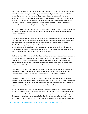undesirable than divorce. That is why the messenger of God has made clear to man the conditions and restrictions of divorce, so that it may occur as infrequently as possible within the Muslim community. Among the rules of divorce, the presence of two just witnesses is a necessary condition. If divorce is pronounced in the absence of two just witnesses, it will be considered null and void. This condition is the best means of doing away with mutual hatred, because two 'just' persons will consider it their duty to bring about peace and friendship between the couple through admonition and preaching before carrying out the divorce.

Of course, it will not be successful on every occasion but the number of divorces can be minimized by the intervention of these two persons who are respected within their community for their good sense and justice.

It is regretful to note that our Sunni brothers, do not accept this argument. They did not consider the presence of two just witnesses necessary for divorce. Consequently the number of divorces is growing so great among them that it causes inconvenience to a great number of people. Unfortunately, many of us, as well as our Sunni brothers, are unaware of the hidden wisdom contained in the religious code. We pray that Muslims may whole‐heartedly comply with the divine laws so that the bitterness that has been created in their private lives, and the confusion that has spread in their social affairs, may at least be reduced.

The important condition of divorce is that the one who divorces must not be under compulsion, or in a state of anger, or any other state of mind which diminishes his ability to think clearly and make decisions in a reasonable manner. (Moreover, the divorce should have completed her monthly period of menstruation and not have had sexual intercourse in the 'new month'. This condition inevitably helps to delay and eventually lessen the number of divorces).

In the Ja'fari (Shi'a) 'fiqh', pronouncement of divorce three times in one sitting is counted as only one divorce. Thus if a man pronounces divorce three times in one sitting, his wife does not become forbidden for him forever. They can be united again without any condition.

If the man then again divorces his wife, returns a second time to the woman and then divorces her a third time, the woman shall become forbidden after this third divorce. After that, she cannot become lawful for him unless she marries (and subsequently divorces) another man. If this thing happens, nine times, he will be unlawful for her former husband forever.

Most of the 'ulama' of the Sunni community stipulate that if a husband says three times to his wife that he has divorced her, it will be considered as an irrevocable talaq; resumption of conjugal relations is only possible if the wife marries and subsequently divorces another man, though it is clearly stated in certain of their accepted hadith that divorce pronounced three times in one sitting is to be counted as one divorce. It is narrated in al‐Bukhari, on the authority of Ibn 'Abbas,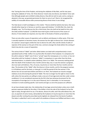that "during the time of the Prophet, and during the caliphate of Abu Bakr, and for two years during the caliphate of 'Umar, the 'three divorces' meant only one divorce, but Hadrat 'Umar said: that although people were entitled to delay divorce, they did not wish to wait, and so, seeing no obstacle in the way, we granted permission for them to carry it out" (that is, he recognized the validity of irrevocable divorce after pronouncing divorce three times in one sitting).

The Holy Quran is itself unambigious in this matter: "Divorce (shall be lawful) only twice, then (you should) either keep her in fairness or send her away with kindness." (2:229) After this, God, the Almighty, says: "So if he divorces her (for a third time), then she shall not be lawful to him until she weds another husband." (2:230) We have tried to give a brief account of the causes of divorce; if more details are required, one may refer to the books of Islamic jurisprudence..

There are also other causes of separation such as defects and diseases in either party. If the man is sexually impotent or becomes insane, the woman has the right to divorce him. Certain diseases of a woman's sexual organs entitle the man to divorce his wife. Zihar and illa' (kinds of oaths of rejection of the woman on the part of the man, common amongst the Arabs before the coming of Islam) may also be a cause of separation.

The various kinds of "iddah" and other allied matters are dealt with comprehensively in more specialized works of fiqh. Suffice it to say that after the death of the husband, it is compulsory for the wife to observe "iddah" even if she is "ya'isah" (past the menopause), or is a minor, or has not had coition with her husband. In divorce, "iddah" is compulsory in cases other than the three mentioned above. In unlawful coition (adultery), there is no 'iddah. The necessary waiting period after the death of the husband is four months and ten days, but, in case the woman is pregnant, she must wait until delivery. This, of course, may be less or more than the four months and ten days. The duration of the "iddah" after the divorce is three months, and for the pregnant woman, it is till delivery and for the kaniz, or slave girl, it is half the period of the free woman. If the divorce has not accrued twice before and there is no 'khul', the husband can resume conjugal relations at any time during the period of 'iddah. The man no longer has the right to return to the wife unless the two parties are willing to make a new act of marriage (and only then under certain conditions). It is not considered necessary by the Shi'a that two witnesses be present for the resumption of marriage (as it is in the case of divorce), but it is desirable; it is not necessary moreover to recite anything specific. Such words and signs as serve the purpose are sufficient.

As we have already made clear, the relationship of marriage cannot be broken unless one or both partners expresses dislike for the other; if the dislike is from the side of the husband, he has the right to talaq, through which he can, if he desires, divorce his wife; and if the wife detests him, she can, on payment of some money, demanded by the husband, (it may be equal to or more than the dower) and after reciting the prescribed words (sighah), be released from the bond of wedlock. This latter is called khul' and it is only valid if all conditions of divorce are fulfilled and there is very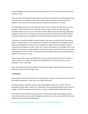strong ill‐feelings on the part of the woman for the husband. This is in accordance with what the Holy Qur'an says:

"And if you fear that they shall not (be able) to keep (themselves) within the limits (fixed) by God, there shall be no sin on either of them about what she gives up to get herself free (from the wedlock). These are the limits ordained by God. Beware! Exceed them not." (2:229)

The commentary of the ahlu 'l-bayt about this verse is that it concerns the wife who says to her husband, "I will not believe in your swearing; I will not respect the divine code concerning marriage conduct as far as you are concerned. I will not allow coition; and will bring undesirable people into your house." This obviously shows extreme hatred on the part of the wife and there would then appear to be no possibility of harmonious relations between her and her husband.

If, however, the feeling of dislike is equally strong on both sides, any divorce which takes place is called a "mubarat" divorce. This kind of divorce is likewise only valid if all the conditions of talaq (divorce) are fulfilled, but in this case, the husband has no right to claim more than the dower money that he has paid to the wife. In khul' and 'mubarat', the divorces is irrevocable. After it, the husband cannot assume conjugal relations. If however the woman takes back the money she gave the husband at the time of 'khal", they may resume the conjugal alliance as long as the period of "iddah" has not come to an end.

There are also other causes of prohibition (for instance, if the husband calls his wife 'mother' or 'sister' or likens her to either, the wife becomes prohibited to him till he performs an act of atonement. This is called zihar.

These are explained in the relevant books. Such incidents seldom take place today as they were particular to the Arabs of pre‐Islamic days.

#### **9. Inheritance**

After a person's death, the transfer of his or her property, or rights, to another person by virtue of their blood relationship or some other tie, is called inheritance.

The living relative is called the "warith" (heir), the deceased is called the "muruth" (one who bequeaths), and the right is called "irth" (inheritance). The relationship between a person born of another, or that of two persons who are born of a third, is called a blood relationship (nasab).

If the right of an heir is fixed in the Qur'an, he or she shall be counted in the category of those who receive inheritance as a matter of obligation, otherwise he or she shall be entitled to receive inheritance by virtue of blood relationship.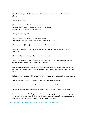In the Holy Qur'an, the chief shares are six. The description of the shares and the inheritors is as follows:

1. The half‐share (nisf):

a) the husband, provided that the wife has no son.

- b) one daughter; here too the absence of a son is a condition.
- c) a sister; here also the same condition applies

2. The quarter‐share (rub'):

a) the husband, when the deceased wife's son inherits. b) the wife, provided that the husband does not leave behind a son.

3. The eighth share (thamin): the wife, when the husband leaves a son.

4. The third-share (thulth). the mother, when there is no son; also some inheritors from the mother's side.

5. The two-thirds share: two daughters when there is no son.

6. The sixth-share (sudus): each of the father and the mother in the presence of a son; also an inheritor from the mother's side whether man or woman.

Those who are not included in the above settlements shall be inheritors on account of their blood relationship with the deceased, observing the rule that the share of the man is double that of the woman.

The heirs who are in a state of blood relationship with the deceased are divided into three groups:

(i) the mother, the father, sons, daughters (or failing these, their descendants).

(ii) grandfathers, grandmothers, brothers and sisters (or failing this, their descendants)

(iii) paternal uncles and aunts, maternal uncles and aunts (or failing this, their descendants)

The universal principle is that the presence of members of group (i) prevents members of group (ii) presents members of group (iii) inheriting. Thus, the one closer in blood‐relationship acts as a barrier to the remoter, and this principle also holds within each group.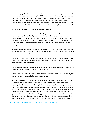The only really significant difference between the Shi'ah and Sunni schools of jurisprudence in the laws of inheritance concerns the principles of " "awl" and "ta'sib" 3. The Imamiyah jurisprudents have proved by means of ahadith from the Ahlu'l-bayt (a.s.) that there is no 'awl or ta'isb in the matter of inheritance. This was also the opinion held by the great companions of the Holy Prophet. The well‐known statement of Ibn 'Abbas in which he speaks against 'awl and ta'sib can be taken as authoritative. There are also other grounds of proof for negating these two principles.

# **10. Endowments (waqf); Gifts (nibah) and Charities (sadaqah):**

If someone owns some property and wishes to relinquish possession of it, his transference of it may be such that it is final. That is, now only will it go out of his possession, but he can never claim it back, whether, e.g., he frees a slave, or gives up possession of a house or some land to make it a place of worship, a mosque, or a place for use in pilgrimages. By such an act, the property can never again return to the ownership of that person again. In such a case, in fact, the item can never again be anyone's property.

On the other hand, the person may relinquish possession of some property which then passes into the hands of another. Such a transaction may be based on exchange or a monetary transaction, it may be part of a peace treaty, etc.

Thirdly, he may relinquish ownership without any exchange taking place, but solely with regard to the world to come and recompense therein. This is what is commonly known as "sadaqah", and this is in turn divided into two parts:

a) if the property is durable and the donor's intention is that it should last and any profits from it used in good acts, it will then be called an endowment (waqf);

b)if it is not durable or the donor has not stipulated any conditions for its being permanently kept and utilised, it will then be called sadaqah proper (charity).

Fourthly, if possession of some property is handed over to someone else without there taking place any exchange and without any thought of Divine recompense (e.g. for the sake of friendship), the donation is called hibah (gift). If, however, some exchange takes place, e.g. one man gives another his shirt on the condition that the second man gives a book to him, it is called " 'iwad" (a consideration). ,If the second party accepts, the gifting will become binding and neither party will have the right to take his property back, except if they both agree to break their agreement. It is necessary that the something gifted must be in the possession of the donor. If the gifting was without any 'iwad, the item (s) may be taken back. Naturally, this does not apply to gifts given between close relatives or between husband and wife, or if the item(s) is (are) lost or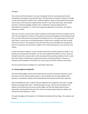# damaged.

This contrasts with the situation in the case of sadaqah; for here, once possession has been relinquished, the thing(s) cannot be taken back. The declaration of intention to donate is enough to make the taking back unlawful. This is called the sighatu 'l‐waqf, and the property then passes to the trustee, who may be the original owner himself. It may not be taken back, sold, divided, pawned, or otherwise pledged, whether it be a "waqf khass" (special endowment), for descendents, for example, or a "waqf 'amm" (general endowment), for the poor, the needy, a mosque or a school.

There are, of course, some occasions when exceptions can be made and the trust property can be sold. This may happen, for instance, if the property has become damaged, but the damage should be to an extent that prevents the property from being of any use. The waqf property can also be sold if there is serious fear of its being destroyed, in which case it should be such that no profit would accrue from it. The property can also be sold if there are acute differences among those who are in possession of it and there is danger of loss of life and property or loss of honour and respect.

In spite of all these conditions, no one can take the decision to sell the property or divide it. The decision rests entirely with the hakimu "sh‐shar" (the mujtahid) The hakimu 'sh‐shar" alone has the right to pass the necessary decree after assessing all the prevailing conditions. But it is a pity that in the matter of endowments, people have become extremely apathetic. They pay no attention to the limitations of the Divine Law. God is aware of all their intentions and actions.

This was a brief account of sadaqah as it is generally understood.

# **11. Passing Judgement (qadawah)**

The rank of qadi (judge), and that of the administrator of justice have great importance, and in fact these are ranks worthy of great respect. In the Imamiyah sect, the responsibility of the judiciary is considered an adjunct of the prophethood, the imamate and the state in general.

God, the Almighty has said, "O David. We have appointed you vicegerent in the earth; so judge between the people with justice." (38:26) And again He says, "By the Lord (O Prophet), they believe not until they have set you up as their judge in all that they dispute about among themselves, and thereafter find not in their selves any vexation against what you decide, and submit with total submission." (4:65)

The gadi and judge are the nawamisu' th-thalathah (custodiansof three things - life, property and honour).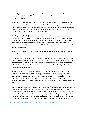That is why there are serious dangers in this rank at every step, and if the texts of the traditions are carefully studied, we shall find that it is so exalted a rank that even the mountains seem to be insignificant before it.

Hadrat Amir al‐Mu'mimin (a.s.) says, "The qadi should be considered to be on the brink of Hell. The qadi's tongue is between two balls of fire. O Shurayh, you are sitting at a place where sits either a prophet or his "wasiy" (successor) or else some wicked person." It is stated in a tradition of the Prophet (s.a.w.), "If somebody is made a qadi it means that he has been slaughtered without a knife." There are many traditions of this nature.

If a ruling which a "faqih" (expert in jurisprudence) deduces from proofs concerns some general principle, it is called a "fatwa"; for instance, it is unlawful to use someone else's property without his or her permission, the wife of a man is lawful to him but she is unlawful to a stranger. But if the order pertains to some particular case it is called a judgement (qada). for instance, "This woman is the wife. "This woman is a stranger." "This is Zayd's property. "That is the property of such and such a person."

Whether it is a "fatwa" or a "qada", both of them are duties of a just mujtahid who is the general proxy of the Imam.

Judgement is in fact the identification of the legal nature of points under dispute, whether they pertain to defense and accusation in a court, or to matters such as the sighting of the moon and the determination of the beginning of the month, or the administration of endowments and the determination of lineage, and it demands great wisdom and intellectual ability. In fact it is more difficult a task than issuing a "fatwa".

Now, if somebody who is devoid of these qualities undertakes to perform this duty, it will certainly do more harm than good. Accordingly, it is unlawful in Imamiyah "fiqh" for anyone except a just mujtahid to undertake to perform this work. Indeed, it is regarded as one of the major sins if anyone else does do it, and the extent of its enormity borders on infidelity. Our respected teachers used to be very cautious about passing judgements. We also follow the same line.

Judgment can only be passed on the basis of three things: (1)confession (iqrar), (2)an oath (qasm), or (3) two just witnesses (bayyinah). The question of how to establish preference or priority in cases where there may be difference or contradiction between the witnesses is a matter for the section of fiqh which deals with the giving of evidence, and there is little point in going into the details here suffice it to say that the matter has been examined in great detail by our jurists and they have left many writings on it. We, also, have written a book on the subject called "Tahriru 'l‐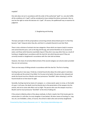majallah".

One who does not act in accordance with the order of the authorized "qadi" (i.e. one who fulfills all the conditions of a "qadi"), will be considered to have violated the divine commands. Also no one has the right to revise the decision of a "qadi". Of course, the qadihimself may re‐examine his judgment.

2. Slaughtering and Hunting

The basic principle in Shi'ah jurisprudence concerning animals whose blood spurts 4 is that they become "najis" (impure) when they die, and that it is unlawful (haram) to eat their flesh.

There is also a division of animals into two categories: those which are impure (najis) in essence and cannot become pure, such as the dog and the pig, and cannot therefore on no account be eaten; and those which become essentially impure if they die in any way other than as a result of hunting or slaughtering in accordance with the shari'ah, but which become pure if they are correctly hunted or slaughtered in accordance with the rules laid out below.

However, the mean of correctly killed animals of the second category can only be eaten provided they are not carnivorous.

There are two ways of killing animals in accordance with the shari'ah. The first is hunting.

Hunting may be in two ways. Firstly by a trained hound who obeys the orders given it and does not normally eat the animal it has killed. For his prey to be lawful, the person who released and sends the hound must be a Muslim and must pronounce "bismillah" when releasing it, and the hound should at no time leave his sight.

Secondly, hunting may be by means of a weapon, i.e. a sharp sword, spear or arrow, or the bullet of a gun. In all cases, the death must be directly due to the penetration of the weapon into the animal, and not to some side effect such as fright. The person who uses the weapon must be a Muslim and he must pronounce "bismillah" at the time of taking aim.

If the animal is killed by either of the above methods, its flesh is lawful. But if the hunter gets his animal when it is still alive, he must slaughter it (see below). All other means of hunting (i.e. trap, net, etc.) are forbidden, unless, of course, the animal is taken alive and correctly slaughtered.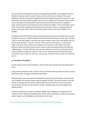The second way to lawfully kill an animal is by slaughtering it (dhabih). The slaughterer must be a Muslim or someone under the rules of Islam such as the minor son of a Muslim. The second condition is that the instrument of slaughtering should be made of sharp metal. However, in case of necessity, any sharp implement (glass, sharp stone, etc.) which cuts the arteries clearly may be used. In the Name of God (bismillah) must be pronounced when the intention to slaughter is amde, and the animal must be lying with its face towards the "qiblah". All four main blood vessels of the neck must be completely severed above the vocal chords. (There is a special method of killing a camel called "nahr", which may also be used for other animals when "dhabih" is not possible.

It should be noted finally that all namilas whose blood does not spurt are unlawful (haram) except fish which have scales. A hadith of Muhammad ibn Nu'man Ahwal, Mu'min at‐Taq, says, "One day I went in to see Abu Hanifah. I saw there was a pile of books in front of him. Abu Hanifah said, 'Do you see all these books?' I said, Yes.' He said, 'They are all to do with divorce.' I said, God has made us free from all your books by one single verse of the Quran, "Oh Prophet, (say to the believers), 'When you divorce (your) women, divorce at their prescribed period, and reckon the 'iddah (exactly).' "He said, 'Well then, have you ever asked your friend Ja'far ibn Muhammad (al‐ Imam as-Sadiq (a.s.)) about the seacow?' I said, 'Yes, he said that every sea-animal with scales, even if it be a 'sea‐) camel or a (sea‐) cow, can be eaten, and that if it has no scales it is unlawful to eat.'" 5

# **13. The Nature of Foodstuffs**

Animals: There are three kinds of animals ‐ animals of the land, animals of the sea and animals of the air.

It has just been pointed out that, in general, the only animals of the sea which are lawful are those which have scales. The eggs of such fish are also lawful.

Of land animals, only a few species can be lawful the camel, the cow, the sheep or goat, the wild cow or buffalo, the mountain sheep or goat, the gazelle, the deer. The meat of horses, mules and donkeys is not approved of (makruh). Animals which eat najis substances, such as excrement, become haram, but they can be purified by "istibra"' (keeping itaway from najis eatables for a specific period).

All kinds of carnivourous animals are unlawful. Rabbits, foxes, badgers and mongooses are all unlawful. Insects, reptiles and amphibians like worms, snails, cockroaches, scorpions, wasps, bees, snakes, frogs etc. are all forbidden; only the locust can be eaten.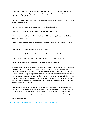Among birds, those which feed on flesh such as hawks and eagles, are completely forbidden. Apart from this, the Prophet (s.a.w.) prescribed three signs in three conditions for the indentification of lawful birds:

1) if the birds are in the air, the pause in the movement of their wings, i.e. their gliding, should be less than their flapping;

2) if they are on the ground, the spurs on their claws should be visible;

3) when the bird is slaughtered, it must be found to have a crop and/or a gizzard.

Bats and peacocks are forbidden. The kind of crow which eats herbage is lawful, but the kind which eats carrion is forbidden.

Besides animals, there are other things which are for bidden to eat or drink. They can be classed under four headings:

1) everything which is impure (najis) is unlawful (haram);

2) every kind of food (eatable or drinkable) which has been taken illegally is haram.

3)every kind of food (eatable or drinkable) which has deleterious effects is haram.

4)every kind of food (eatable or drinkable) which seems repulsive is haram.

Of liquids, one of the most impure is urine, but even more than that is wine (any kind of alcoholic beverage), and in Imamiyah fiqh, the unlawfulness and impurity of wine is more strongly emphasized than in any other school. The traditions that have come down to us from our Imams on this subject are enough to frighten one off them forever. Distillers and fermenters of alcoholic drinks, stockists, merchants and drinkers, all are cursed, and wine has been called in fiqh "ummu 'l‐khaba'ith" (the mother of all evils). Some traditions say it is forbidden to sit at a table on which alcoholic drinks have been laid, probably so as to encourage people to abstain therefrom so that their bad effects may be limited.

Today, expert scientists have confirmed by chemical tests that wine is a very destructive and harmful thing. Islam warned against alcohol thirteen hundred years ago. Today, even those who do not abstain for religious reasons do so for reasons of health. The shari'ah of Muhammad (s.a.w.) cannot be over praised, those who neglect it do so to their own disadvantage and peril.

#### **14. Penology (hudud)**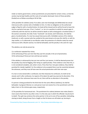Under an Islamic government, certain punishments are prescribed for certain crimes, so that the society may be kept healthy and the roots of corruption destroyed. Some of these penalties (hudud) are as follows according to Shi'ah fiqh.

1)The penalties for adultery (zina): If an adult, sane man knowingly and deliberately has sexual intercourse with a woman who is forbidden to him, it is then an obligation on the authorized judge to flog him with a hundred lashes; his head will be shaved and he will be forced to leave the city for a period of one year. If he is "muhsin", i.e. he is in a position to satisfy his sexual urges in conformity with the shari'ah, he will be stoned to death as well as being given a hundred lashes. If the woman consented, she shall, if also "muhsinah", be stoned, and if otherwise, she shall be given a hundred lashes. If a man has sexual intercourse with a forbidden woman of his relatives (mahrum), or with a woman who has suckled at the same breast as he was (his rida'ih), or with his step mother, or if a dhimmah (a non‐Muslim under the protection of a Muslim state) has sexual intercourse with a Muslim woman, he shall be beheaded; and the penalty is the same for rape.

The adultery can only be proven by:

- 1) a confession repeated four times;
- 2) the witnessing of four just men that they saw him actually in the act of penetration;
- 3) the witnessing of three just men and two just women.

If the adultery is witnessed by two just men and four just women, it shall be deemed proven but the penalty may only be flogging, their being no capital penalty. If the evidence is less than this, it is not considered complete, and, what is more, if less than four men give evidence, they shall be punished for slander (qadhaf). For the evidence to be accepted there must be unanimity between the witnesses, and they must all have seen the actual penetration with their own eyes.

If a man is to be stoned after a confession, but then disavows his confession, he shall not be stoned; and if, after confession, he repents of his deed, the qadi may exercise his discretion. If he repents when four witnesses have seen his act, there will be no alteration in the penalty.

If a person is being punished for the third time for the same offence (adultery), he shall be beheaded. A pregnant Woman or a sick person must not receive his or her punishment until the baby is born or the sickness goes away, respectively .

2) The penalties for homosexual acts : The punishment for sodomy between two males (liwat) is more severe than that for any other crime. It is the only case in which the offender may be burnt to death. The qadi may sentence the active partner in the act to one of four penalties: beheading, stoning to death, being thrown from a height so that his bones are all broken up, burning to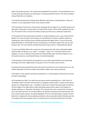death. The passive partner, if he is adult and responsible for his actions, is to be beheaded. If he is not yet of the age of puberty, he will be given a reduced punishment (ta'zir). The same conditions of proof hold here as in adultery.

In the female homosexual act (sihaq), both offenders will be given a hundred lashes. If they are married, it is not impossible for them to be stoned to death.

3) The penalty for the procurer: the procurer (qawwad) who arranges for an unlawful sexual act to take place, will be given seventy lashes, his head will be shaved, and he will be expelled from the city. The proof for this is met by the evidence of two just melt or by a confession made twice.

4) The penalty for false witnessing and slander. if someone falsely accuses a sane, adult and free Muslim of a crime for which some sentence can be inflicted, for instance, adultery, sodomy or drinking wine, then the false accuser shall be punished with eighty lashes. In case of the proof being admissible on confirmation by the accused person, the sentence against the accuser shall become void. The crime shall be considered proved as long as there is "bayyinah)) (see above).

It is also a punishable offence for a person to call someone else with some undesirable epithet which he does not deserve, e.g. "sinner", "corrupter", "leper", etc. If someone claims to be a prophet, or curses or declares enmity with one of the fourteen pure ones (the Prophet (s.a.w.), the twelve Imams (a.s.) and Hadrat Fatima), he shall be beheaded.

5) The penalty for the drunkard: the penalty for any one who avails himself of any intoxicating beverage of any kind is eighty lashes, to be given on his or her bare neck and arms.

If someone has been punished for three times and he commits the crime a fourth time, he or she shall be beheaded. One who considers wine lawful is liable to the same punishment.

If the dealer in wine repents and leaves his profession, it is well and good, otherwise he too shall be liable to beheading.

6) The penalties for theft: if an adult and sane person steals something from a "safe" place (i.e. somewhere which is locked or firmly closed, or someplace similar) which is valued at more than a quarter of a mithqal (about 1 gm ‐ a mithqal is a little over 4.5 grams 0) of pure gold, he will have the four fingers of his right hand cut after duly being sentenced by a qadi on the evidence of double confession or "bayyinah" (see above). If he commits the crime a second time, his leg will be cut off under the knee. For the third offence, he shall be sentenced to life imprisonment. And, if he commits theft in prison, he shall be beheaded. If he has committed theft a number of times before he is subjected to the prescribed punishment, only one penalty shall be inflicted upon him. For children and insance people, there is no hadd only ta'zir (a lenient punishment). The thief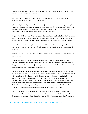must invariably have to pay compensation, and for this, one acknowledgement, or the evidence and oath of one just witness is sufficient.

The "hands" of the father shall not be cut off for stealing the property of the son. But, if, conversely, the son steals, his "hands" shall be cut off

7) The penalty for causing fear and terror (muharib): if someone causes fear among the people in a town or in the open country or at sea and/or intimidates them for the purposes of seizing what belongs to them, the qadi is empowered to have him or her executed, crucified, to have his right hand and left foot cut off, or to have him banished from the country.

God, the Most High, has said, "The recompense of those who war against God and His Messenger, and strive in the land spreading corruption, is only that they be slain or crucified or their hands and their feet should be cut off, from the opposite sides, or be banished from the land." (5:33)

In case of banishment, the people of the place to which the culprit has been deported must be informed in writing, so that they may refuse him entry to their meetings, to their meals, etc., till he repents.

The thief who attacks a house is also a "muharib". If he is killed, his blood will be considered shed with impurity.

If someone attacks the modesty of a woman or her child, these latter have the right of self‐ defence. If the assailant is killed in the struggle,(his blood too will have been shed with impunity. Thugs, ruffians and false witnesses (excluding those in 4 above) are liable to reduced punishment. The judge can give them any appropriate punishment.

8) Sundry penalties: anyone who perpetrates an indecent act with a quadruped shall be given a less severe punishment. If he persists in his activities, he may be executed. The meat of the animal (if it is a lawful animal) will become forbid den, and it must be slaughtered and its body burnt. In case it belongs to someone other than the perpetrator of the act, he must be awarded the cost of the cost of the animal. If the animal is of doubtful ownership, it should be decided by lots. If the animal is in any case unlawful, it must be sold in another city, and the price obtained given in charity. If the animal belongs to another, he must be suitably recompensed for his loss. The evidence of two just persons or a double confession is sufficient to prove guilt.

A person who has sexual intercourse with a dead body shall be dealt with as if it were alive; rather, the punishment will be even more severe. In the case of it being the body of his wife or slave girl, the punishment will be milder. The proof for this is the same as is required for adultery.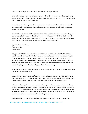A person who indulges in masturbation also deserves a mild punishment.

As far as is possible, every person has the right to defend his own person as well as his property and the persons of his family. But he should start by adopting less severe measures, and he should only increase his precautions if necessary.

If someone looks without permission into someone else's house and the dwellers pelt him with stones causing his death, do penalty may be extracted from them, and his blood is considered shed with impunity.

Murder is the greatest sin and the greatest social crime. "And whose slays a believer willfully, his recompense is Hell, therein dwelling forever, and God will be wroth with him and will curse him, and prepare for him a mighty chastisement." (4:93) Crimes against the person, whether it causes death, loss of a part of the body, or not, can be divided into three kinds:

- 1) premeditated or willful,
- 2) similar to (1),
- 3) by accident.

First, (1), premeditated or willful, needs no explanation. (2) means that the attacker took the initiative, but did not intend to kill. For example, someone beats someone else as a warning, but this results in death, or a person is given some medicine to cure him, but it ends his life. (3) accidental means that there is neither any intention nor any initiative, yet someone is killed; for instance, somebody is aiming at a bird and, by mistake, a human being becomes the victim, or a man is lifting his gun and it accidentally goes off and kills somebody.

More clear examples are the actions of a man who is sleep walking, of an unconscious person, of a mad man or of an innocent child.

It must be clearly observed that as far as the crime and its punishment is concerned, there is no difference between the actual committer of the crime and the person who devised and ordered it to be done; nor does it make any difference if the crime is committed by one or many.

Retaliation (qisas) applies only in the case of willful or premeditated murder or injury. In (2) and (3) there are only compensation (diyah). There can be no retaliation from the child or the lunatic, nor can there be any retaliation if the murdered person is a child or a lunatic. An adult who kills a child is subject only to the deliverance of compensation. However, some jurists are of the opinion that there is retaliation here, and also for the killing of a lunatic.

Another condition for retaliation is that the culprit was not compelled or under constraint,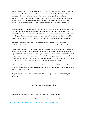although this does not apply in the case of death, for in a matter of murder, there is no "taqiyah" (dissimulation). It is also necessary that the person murdered by "without sin", i.e. not someone whose death is permitted by the shari'ah. There is no retaliating against the father, the grandfather or the great‐grandfather, if they murder their son, grandson or great‐grandson, only compensation. A Muslim is subject to retaliation only in the case of the murder of another Muslim. Likewise, retaliation shall be taken against the freedman only for the murder of a freedman.

The blood money or compensation for a free Muslim is: a hundred camels, or two hundred cows, or a thousand sheep, or two hundred items of clothing, each consisting of two parts, or a thousand dinars. If the heirs of the murdered person agree to take the compensation, retaliation is voided, and the murderer must pay the compensation within one year. In (2), the period for payment is two years. In (3), the period is three years, with a third being payable each year.

In cases of parts of the body, retaliation can be extracted if the action was deliberate. The retaliation is like for‐like, i.e. an eye for an eye, an ear for an ear, and a tooth for a tooth.

If the crime is of kinds (2) or (3), there are special compensations: some equivalent to the whole compensation for a man (i.e. 1000 dinars), some a half, and some less than a half. In general, organs and parts of the body which occur singly, such as the nose or the penis, demand the whole compensation, those which occur in twos demand half the compensation (i.e. two hands demand the whole compensation). In (1) and (2) the compensation must be paid by the culprit himself, but in (3) it may be paid by his 'aqilah (certain near relatives on the father's side).

If the reader is interested, he or she may consult the extensive books which deal with this topic for further details. However, since it was our intention to deal with, matters only briefly, we have left out a great many things.

Our purpose was to give a few examples, so that our aim might be made clear with only a few references.

PART 4 :Allegations Against the Shi'a

Refutation of the Claim that their are Un‐Islamic Borrowings in Shi'a Beliefs.

All that we have set down in this book is but a mere indication of the beliefs and convictions of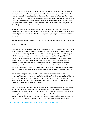the Imamiyah sect. It would require many volumes to deal with them in detail. But the religious leaders, and indeed the Muslims in general, can tell us if there was anything in the facts that we have just stated which could be said to be the cause of the destruction of Islam, or if there is any matter which has been derived from Judaism, Christianity, or Zorastrianism (see introduction), or if anything appears which is against the basic principle of monotheism (tawhid) or against the Book (the Qur'an) and the sunnah (words and deeds of the Holy Prophet (s.a.w.)). By God, you should be just and not simply utter caluminous remarks.

Finally, our prayer is that our brothers in Islam should come out of the world of doubt and uncertainty, and gather together under the one banner of the Qur'an, so as to successfully regain their past glory. It is quite obvious that this is an impossibility as long as our sectarian conflicts continue.

May God bless us with mutual tolerance and may the bonds of love between us be strengthened.

### **The Problem of Bada'**

In this matter also the Shi'as are much reviled. The misconstrues, distorting the concept of "bada", try to convince people that according to the Shi'a faith, God, the Almighty, performs actions of which He has no knowledge. God forbid. Can there be greater ignorance than this? This is plain infidelity because, on the one hand, it is a denial of the attribute of knowledge of God the Almighty, and on the other, He is considered as being subject to accidents and changes. This negates the very essence of the infiniteness and absoluteness of God. The Imamiyah sect vehemently opposes these foolish and absurd ideas. Rather, no Islamic sect supports this misleading view. Of course, these nonsensical ideas have been attributed to some of those elements who believe in the physical body of God. Thus it was one of them who said about God, "Only excuse Me for My beard and private parts. Otherwise you may ask Me anything you like."

The correct meaning of "bada", which the Shi'as believe in, is included in the secrets and mysteries of the House of Muhammad (a.s.),. The traditions of the ahl ul‐bayt (a.s.) say, "There is no other way in which the duty of worship of God is better performed than it is with the acknowledgement of "bada". One who does not make "bada" the proof of this knowledge does not possess a complete understanding of God."

There are many other reports with the same sense. In fact, knowledge is of two kings: One is that with which God has endowed His angels and prophets (a.s.). According to this knowledge, whatever has been told them must surely happen. The second kind is that which is neither known to an angel close to the Presence of God, nor to any exalted Prophet (a.s.). It is only He Who knows it. So, according to this, He may cause something to happen earlier or delay a happening, or efface or write down something as He pleases. That is the stage of knowledge, which God the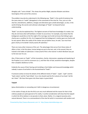Almighty calls "'umm al‐kitab". This shows the perfect Might, absolute Wisdom and divine Sovereignty of the Lord of the universe.

The problem may also be understood in the following way. "Bada" in the world of existence has the same status as "naskh" (abrogation) in the commands of the shari'ah. Thus, just as in the shari'ah, amendments, additions, changes and alterations give untold advantages, so also, in the world of being, the secrets and unknown advantages of "bada'" are beyond human understanding.

"Bada'" can also be explained thus. The highest servants of God have knowledge of a matter, but they do not know what will facilitate or hinder its occurrence. For example, Jesus knew that the bridegroom would die on the first night of his marriage, but he did not know that failing to give charity was a condition for this. So it happened that the bridegroom's mother gave out charity and he was spared. When the reality of the matter was put before Jesus, he said, "you must have given charity on his behalf. Charity wards off calamities."

There are many other instances of this sort. The advantages that accrue from these states of affairs is that, in the first place, human beings are put to the test, and, in the second, they are trained in the habits of submission. A clear proof of this is the manner in which Abraham was put to the test over his son.

Also, if there were no "bada'", all the invocations, charity, intercession, weeping and impoloring of the Prophet (s.a.w.) and his successors (a.s.), and their fear of God, would be meaningless, despite their complete obedience to Him.

Evidently the cause of their fearing and trembling is that hidden and treasured knowledge which nobody is aware of and which is the fountainhead of "bada'".

If someone wishes to know the details of the different kinds of "bada"', "qada", "qadr" and the "lawh mahw" and the "lawh ithbat", he or she should read the first volume of our book "ad‐Din aw I-Islam". We have there gone into these topics in great detail.

# **Taqiyah**

(pious dissimulation or concealing one's faith in dangerous circumstances)

In the matter of taqiy ah also the Shi'as are very much defamed and the reason for that is that ordinary people are quite ignorant of its reality. A careful consideration will show that the taqiyah in which the Shi'as believe is not peculiar to them alone. Rather, it is a logical necessity and a natural demand. There is no commandment of the shari'ah which is inconsistent with wisdom and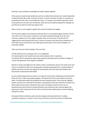learning. In every problem, knowledge and wisdom appear together .

If one assesses innate human tendencies, one has to admit that everyone has a natural disposition to defend himself: life is dear. Of course, if there is a matter of honour at stake, or a question of protecting the truth, then, even though life is dear, it is not given any relative importance. But if circumstances do not reach such an extreme, what sane man would be prepared to endanger his own life just so that the world may laugh at him?

What is more, to court danger is against the counsel of wisdom and religion.

Thus the Holy Lawgiver has permitted the Muslim who is surrounded by danger and who risks his or her life or his or her honour to hide his or her belief outwardly although he or she must continue to observe his or her religion inwardly. There are also verses in the Holy Qur'an suggesting the same thing and the story of 'Ammar, his parents and some other companions of the Prophet shows that when he was suffering the persecutions of the idol‐worshippers, he professed unbelief.

There are of course rules for taqiyah. They are three:

1) if life will be lost for no purpose, then it is an obligation;

2) if expressing the truth would serve some useful purpose, then it is optional;

3) if atheism (kufr) is gaining the upper hand, people are being led astray, and their is danger of cruelty and oppression, then taqiyah is forbidden.

Now let us throw some light onto the matter so that a conscientious person may make up his own mind as to whether the Shi'a are actually guilty of taqiyah (supposing that it is condemnable), or whether they were forced to do taqiyah by certain groups who took away their freedom and forced them to dissimulate their beliefs.

As soon as Mu'awiyyah took over power, he made the shari'ah into a plaything and victimized the Shi'as of 'Ali (a.s.) with unconcealed savagery. The blood of the Shi'as was cheaper to him than water. The Marwanid caliphs also followed the same iniquitous policy. Then came the 'Abbasid period, and they even increased the atrocities. Consequently, those who loved the ahl ulbayt (a.s.) had to adopt various tactics. Sometimes they went into hiding, sometimes they rose up. Sometimes they were forced to conceal themselves and sometimes they stood up against the oppression in their enthusiasm for the truth so that their blood might become a beacon lighting the path for others.

Some great Shi'ahs, therefore, paid no heed to taqiyah and braved all kinds of cruelties, sometimes ending up. as martyrs. There is the very famous story of the martyrs of Maraj Azra,

Presented by http://www.alhassanain.com & http://www.islamicblessings.com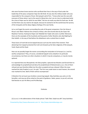who were fourteen brave warriors who sacrificed their lives in the way of God under the leadership of the pious companion Hajar ibn Abi Kindi. He was also the military leader who was responsible for the conquest of Syrai. Mu'awiyyah said of him, "I know what was the case with everyone of those whom I put to the sword in Maraj Azra, but I am at a loss to understand what the crime of Hajar was for which he was killed." But we can easily say what his fault was. He did not feel there was any need to do taqiyah, because he wanted to let the world know the tyranny of the Umayyids and the deep religious feelings of his own family.

Let us not forget the events surrounding the ends of the great companions 'Amr ibn Himq al-Khuza'i and 'Abdu'r‐Rahman ibn al‐Hasan al‐Ghazi, who were buried alive by ibn Ziyad. Nor Maytham Tammar, Rushayd al‐Hajari and 'Abdullah ibn Yaqfar who were crucified. Moreover, there are the examples of the hundreds and thousands of other Muslims who died fighting for their beliefs. in the way of God before the disbelievers who crushed them to death.

These lovers of truth did not do taqiyah because such was the need of the moment. Their abstaining from taqiyah protected the truth and showed up the false religiosity of Mu'awiyyah, Yazid, Ziyad and Ibn Ziyad.

How can we possibly forget the events surrounding the martyrdom of al‐Husayn (a.s.) and his worthy companions? They, of course, considered taqiyah to be unlawful in its particular circumstances, but there are other situations in which it may be compulsory, or may be merely optional.

It is reported that once Musaylimah, the false prophet, captured two Muslims and forced them to acknowdedge his prophethood and deny the prophethood of Muhammad (s.a.w.). One of them refused and was therefore killed, but the other accepted and was released. When the news reached the Holy Prophet (s.a.w.), he said, "The first man made haste to reach heaven, the second man marked his time. Both of them will be recompensed."

O Muslims! Do not taunt your brothers concerning taqiyah. May God bless you and us in the hereafter, and may we all be united on the point of guidance. Salam, peace, to you all, and may God bestow on you His Mercy and His Blessings.

## Endnotes

[1] (s.a.w.): is the abbreviation of the Arabic phrase "Salla 'llahu 'alayhi wa alih" (may God bless

Presented by http://www.alhassanain.com & http://www.islamicblessings.com